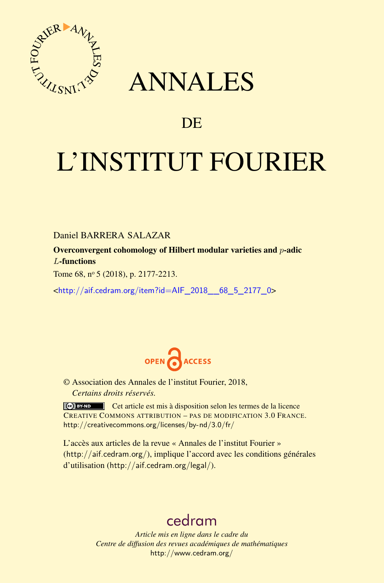

# ANNALES

# **DE**

# L'INSTITUT FOURIER

Daniel BARRERA SALAZAR

Overconvergent cohomology of Hilbert modular varieties and *p*-adic *L*-functions

Tome 68, nº 5 (2018), p. 2177-2213.

<[http://aif.cedram.org/item?id=AIF\\_2018\\_\\_68\\_5\\_2177\\_0](http://aif.cedram.org/item?id=AIF_2018__68_5_2177_0)>



© Association des Annales de l'institut Fourier, 2018, *Certains droits réservés.*

Cet article est mis à disposition selon les termes de la licence CREATIVE COMMONS ATTRIBUTION – PAS DE MODIFICATION 3.0 FRANCE. <http://creativecommons.org/licenses/by-nd/3.0/fr/>

L'accès aux articles de la revue « Annales de l'institut Fourier » (<http://aif.cedram.org/>), implique l'accord avec les conditions générales d'utilisation (<http://aif.cedram.org/legal/>).

# [cedram](http://www.cedram.org/)

*Article mis en ligne dans le cadre du Centre de diffusion des revues académiques de mathématiques* <http://www.cedram.org/>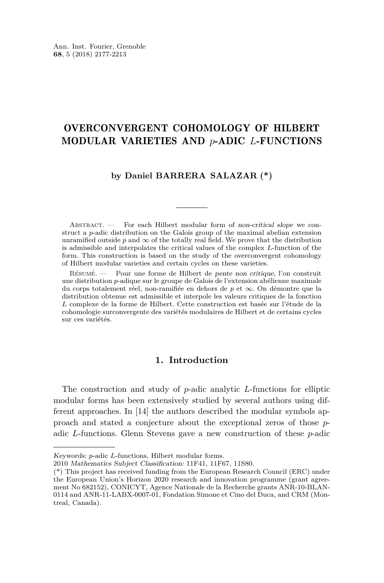# OVERCONVERGENT COHOMOLOGY OF HILBERT MODULAR VARIETIES AND *p*-ADIC *L*-FUNCTIONS

# **by Daniel BARRERA SALAZAR (\*)**

ABSTRACT. — For each Hilbert modular form of non-critical slope we construct a *p*-adic distribution on the Galois group of the maximal abelian extension unramified outside  $p$  and  $\infty$  of the totally real field. We prove that the distribution is admissible and interpolates the critical values of the complex *L*-function of the form. This construction is based on the study of the overconvergent cohomology of Hilbert modular varieties and certain cycles on these varieties.

Résumé. — Pour une forme de Hilbert de pente non critique, l'on construit une distribution *p*-adique sur le groupe de Galois de l'extension abélienne maximale du corps totalement réel, non-ramifiée en dehors de *p* et ∞. On démontre que la distribution obtenue est admissible et interpole les valeurs critiques de la fonction *L* complexe de la forme de Hilbert. Cette construction est basée sur l'étude de la cohomologie surconvergente des variétés modulaires de Hilbert et de certains cycles sur ces variétés.

# **1. Introduction**

The construction and study of *p*-adic analytic *L*-functions for elliptic modular forms has been extensively studied by several authors using different approaches. In [\[14\]](#page-37-0) the authors described the modular symbols approach and stated a conjecture about the exceptional zeros of those *p*adic *L*-functions. Glenn Stevens gave a new construction of these *p*-adic

Keywords: *p*-adic *L*-functions, Hilbert modular forms.

<sup>2010</sup> Mathematics Subject Classification: 11F41, 11F67, 11S80.

<sup>(\*)</sup> This project has received funding from the European Research Council (ERC) under the European Union's Horizon 2020 research and innovation programme (grant agreement No 682152), CONICYT, Agence Nationale de la Recherche grants ANR-10-BLAN-0114 and ANR-11-LABX-0007-01, Fondation Simone et Cino del Duca, and CRM (Montreal, Canada).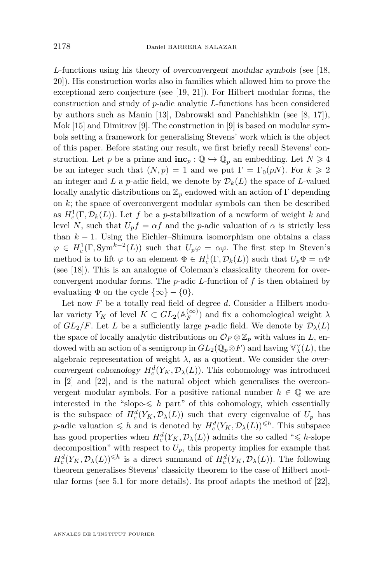*L*-functions using his theory of overconvergent modular symbols (see [\[18,](#page-37-1) [20\]](#page-37-2)). His construction works also in families which allowed him to prove the exceptional zero conjecture (see [\[19,](#page-37-3) [21\]](#page-37-4)). For Hilbert modular forms, the construction and study of *p*-adic analytic *L*-functions has been considered by authors such as Manin [\[13\]](#page-37-5), Dabrowski and Panchishkin (see [\[8,](#page-36-0) [17\]](#page-37-6)), Mok [\[15\]](#page-37-7) and Dimitrov [\[9\]](#page-37-8). The construction in [9] is based on modular symbols setting a framework for generalising Stevens' work which is the object of this paper. Before stating our result, we first briefly recall Stevens' construction. Let *p* be a prime and  $\mathbf{inc}_p : \overline{\mathbb{Q}} \hookrightarrow \overline{\mathbb{Q}}_p$  an embedding. Let  $N \geq 4$ be an integer such that  $(N, p) = 1$  and we put  $\Gamma = \Gamma_0(pN)$ . For  $k \geq 2$ an integer and *L* a *p*-adic field, we denote by  $\mathcal{D}_k(L)$  the space of *L*-valued locally analytic distributions on  $\mathbb{Z}_p$  endowed with an action of  $\Gamma$  depending on *k*; the space of overconvergent modular symbols can then be described as  $H_c^1(\Gamma, \mathcal{D}_k(L))$ . Let *f* be a *p*-stabilization of a newform of weight *k* and level *N*, such that  $U_p f = \alpha f$  and the *p*-adic valuation of  $\alpha$  is strictly less than  $k - 1$ . Using the Eichler–Shimura isomorphism one obtains a class  $\varphi \in H_c^1(\Gamma, \text{Sym}^{k-2}(L))$  such that  $U_p \varphi = \alpha \varphi$ . The first step in Steven's method is to lift  $\varphi$  to an element  $\Phi \in H_c^1(\Gamma, \mathcal{D}_k(L))$  such that  $U_p \Phi = \alpha \Phi$ (see [\[18\]](#page-37-1)). This is an analogue of Coleman's classicality theorem for overconvergent modular forms. The *p*-adic *L*-function of *f* is then obtained by evaluating  $\Phi$  on the cycle  $\{\infty\} - \{0\}.$ 

Let now *F* be a totally real field of degree *d*. Consider a Hilbert modular variety  $Y_K$  of level  $K \subset GL_2(\mathbb{A}_F^{(\infty)})$  $\binom{(\infty)}{F}$  and fix a cohomological weight  $\lambda$ of  $GL_2/F$ . Let *L* be a sufficiently large *p*-adic field. We denote by  $\mathcal{D}_{\lambda}(L)$ the space of locally analytic distributions on  $\mathcal{O}_F \otimes \mathbb{Z}_p$  with values in *L*, endowed with an action of a semigroup in  $GL_2(\mathbb{Q}_p \otimes F)$  and having  $\mathbb{V}_\lambda^{\vee}(L)$ , the algebraic representation of weight  $\lambda$ , as a quotient. We consider the overconvergent cohomology  $H_c^d(Y_K, \mathcal{D}_\lambda(L))$ . This cohomology was introduced in [\[2\]](#page-36-1) and [\[22\]](#page-37-9), and is the natural object which generalises the overconvergent modular symbols. For a positive rational number  $h \in \mathbb{Q}$  we are interested in the "slope- $\leq h$  part" of this cohomology, which essentially is the subspace of  $H_c^d(Y_K, \mathcal{D}_\lambda(L))$  such that every eigenvalue of  $U_p$  has *p*-adic valuation  $\leqslant h$  and is denoted by  $H_c^d(Y_K, \mathcal{D}_\lambda(L))^{\leqslant h}$ . This subspace has good properties when  $H_c^d(Y_K, \mathcal{D}_\lambda(L))$  admits the so called " $\leq$  *h*-slope decomposition" with respect to  $U_p$ , this property implies for example that  $H_c^d(Y_K, \mathcal{D}_\lambda(L)) \leq h$  is a direct summand of  $H_c^d(Y_K, \mathcal{D}_\lambda(L))$ . The following theorem generalises Stevens' classicity theorem to the case of Hilbert modular forms (see [5.1](#page-21-0) for more details). Its proof adapts the method of [\[22\]](#page-37-9),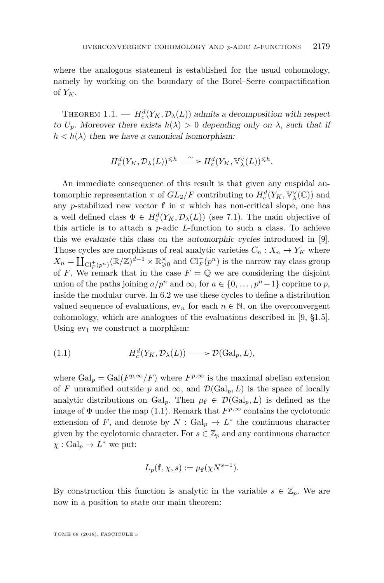where the analogous statement is established for the usual cohomology, namely by working on the boundary of the Borel–Serre compactification of  $Y_K$ .

<span id="page-3-1"></span>THEOREM 1.1. —  $H_c^d(Y_K, \mathcal{D}_\lambda(L))$  admits a decomposition with respect to  $U_p$ . Moreover there exists  $h(\lambda) > 0$  depending only on  $\lambda$ , such that if  $h < h(\lambda)$  then we have a canonical isomorphism:

$$
H^d_c(Y_K, \mathcal{D}_\lambda(L))^{\leq h} \xrightarrow{\ \sim \ } H^d_c(Y_K, \mathbb{V}_\lambda^\vee(L))^{\leq h}.
$$

An immediate consequence of this result is that given any cuspidal automorphic representation  $\pi$  of  $GL_2/F$  contributing to  $H_c^d(Y_K, \mathbb{V}^\vee_\lambda(\mathbb{C}))$  and any *p*-stabilized new vector **f** in  $\pi$  which has non-critical slope, one has a well defined class  $\Phi \in H_c^d(Y_K, \mathcal{D}_\lambda(L))$  (see [7.1\)](#page-33-0). The main objective of this article is to attach a *p*-adic *L*-function to such a class. To achieve this we evaluate this class on the automorphic cycles introduced in [\[9\]](#page-37-8). Those cycles are morphisms of real analytic varieties  $C_n: X_n \to Y_K$  where  $X_n = \coprod_{\text{Cl}_F^+(p^n)} (\mathbb{R}/\mathbb{Z})^{d-1} \times \mathbb{R}^\times_{\geqslant 0}$  and  $\text{Cl}_F^+(p^n)$  is the narrow ray class group of *F*. We remark that in the case  $F = \mathbb{Q}$  we are considering the disjoint union of the paths joining  $a/p^n$  and  $\infty$ , for  $a \in \{0, \ldots, p^n-1\}$  coprime to *p*, inside the modular curve. In [6.2](#page-24-0) we use these cycles to define a distribution valued sequence of evaluations,  $ev_n$  for each  $n \in \mathbb{N}$ , on the overconvergent cohomology, which are analogues of the evaluations described in [\[9,](#page-37-8) §1.5]. Using  $ev_1$  we construct a morphism:

<span id="page-3-0"></span>(1.1) 
$$
H_c^d(Y_K, \mathcal{D}_\lambda(L)) \longrightarrow \mathcal{D}(\text{Gal}_p, L),
$$

where  $Gal_p = Gal(F^{p,\infty}/F)$  where  $F^{p,\infty}$  is the maximal abelian extension of *F* unramified outside *p* and  $\infty$ , and  $\mathcal{D}(Gal_p, L)$  is the space of locally analytic distributions on Gal<sub>p</sub>. Then  $\mu_{\mathbf{f}} \in \mathcal{D}(Gal_p, L)$  is defined as the image of  $\Phi$  under the map [\(1.1\)](#page-3-0). Remark that  $F^{p,\infty}$  contains the cyclotomic extension of *F*, and denote by  $N : \text{Gal}_p \to L^*$  the continuous character given by the cyclotomic character. For  $s \in \mathbb{Z}_p$  and any continuous character  $\chi : \operatorname{Gal}_p \to L^*$  we put:

$$
L_p(\mathbf{f}, \chi, s) := \mu_{\mathbf{f}}(\chi N^{s-1}).
$$

By construction this function is analytic in the variable  $s \in \mathbb{Z}_p$ . We are now in a position to state our main theorem: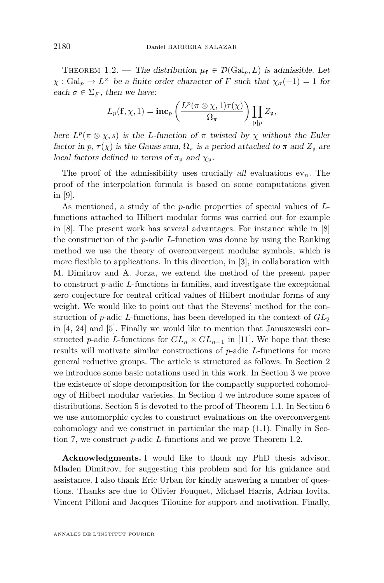<span id="page-4-0"></span>THEOREM 1.2. — The distribution  $\mu_{\mathbf{f}} \in \mathcal{D}(\text{Gal}_p, L)$  is admissible. Let  $\chi$ : Gal<sub>p</sub>  $\rightarrow$  *L*<sup> $\times$ </sup> be a finite order character of *F* such that  $\chi_{\sigma}(-1) = 1$  for each  $\sigma \in \Sigma_F$ , then we have:

$$
L_p(\mathbf{f}, \chi, 1) = \mathbf{inc}_p\left(\frac{L^p(\pi \otimes \chi, 1)\tau(\chi)}{\Omega_{\pi}}\right) \prod_{\mathfrak{p} \mid p} Z_{\mathfrak{p}},
$$

here  $L^p(\pi \otimes \chi, s)$  is the *L*-function of  $\pi$  twisted by  $\chi$  without the Euler factor in *p*,  $\tau(\chi)$  is the Gauss sum,  $\Omega_{\pi}$  is a period attached to  $\pi$  and  $Z_{p}$  are local factors defined in terms of  $\pi_p$  and  $\chi_p$ .

The proof of the admissibility uses crucially all evaluations  $ev_n$ . The proof of the interpolation formula is based on some computations given in [\[9\]](#page-37-8).

As mentioned, a study of the *p*-adic properties of special values of *L*functions attached to Hilbert modular forms was carried out for example in [\[8\]](#page-36-0). The present work has several advantages. For instance while in [\[8\]](#page-36-0) the construction of the *p*-adic *L*-function was donne by using the Ranking method we use the theory of overconvergent modular symbols, which is more flexible to applications. In this direction, in [\[3\]](#page-36-2), in collaboration with M. Dimitrov and A. Jorza, we extend the method of the present paper to construct *p*-adic *L*-functions in families, and investigate the exceptional zero conjecture for central critical values of Hilbert modular forms of any weight. We would like to point out that the Stevens' method for the construction of *p*-adic *L*-functions, has been developed in the context of *GL*<sup>2</sup> in [\[4,](#page-36-3) [24\]](#page-37-10) and [\[5\]](#page-36-4). Finally we would like to mention that Januszewski constructed *p*-adic *L*-functions for  $GL_n \times GL_{n-1}$  in [\[11\]](#page-37-11). We hope that these results will motivate similar constructions of *p*-adic *L*-functions for more general reductive groups. The article is structured as follows. In Section [2](#page-5-0) we introduce some basic notations used in this work. In Section [3](#page-9-0) we prove the existence of slope decomposition for the compactly supported cohomology of Hilbert modular varieties. In Section [4](#page-15-0) we introduce some spaces of distributions. Section [5](#page-20-0) is devoted to the proof of Theorem [1.1.](#page-3-1) In Section [6](#page-23-0) we use automorphic cycles to construct evaluations on the overconvergent cohomology and we construct in particular the map [\(1.1\)](#page-3-0). Finally in Section [7,](#page-32-0) we construct *p*-adic *L*-functions and we prove Theorem [1.2.](#page-4-0)

**Acknowledgments.** I would like to thank my PhD thesis advisor, Mladen Dimitrov, for suggesting this problem and for his guidance and assistance. I also thank Eric Urban for kindly answering a number of questions. Thanks are due to Olivier Fouquet, Michael Harris, Adrian Iovita, Vincent Pilloni and Jacques Tilouine for support and motivation. Finally,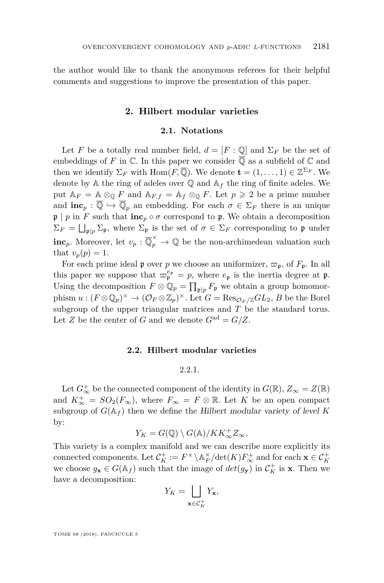<span id="page-5-0"></span>the author would like to thank the anonymous referees for their helpful comments and suggestions to improve the presentation of this paper.

# **2. Hilbert modular varieties**

# **2.1. Notations**

<span id="page-5-2"></span>Let *F* be a totally real number field,  $d = [F : \mathbb{O}]$  and  $\Sigma_F$  be the set of embeddings of *F* in  $\mathbb C$ . In this paper we consider  $\overline{\mathbb Q}$  as a subfield of  $\mathbb C$  and then we identify  $\Sigma_F$  with  $\text{Hom}(F,\overline{\mathbb{Q}})$ . We denote  $\mathbf{t} = (1,\ldots,1) \in \mathbb{Z}^{\Sigma_F}$ . We denote by  $A$  the ring of adeles over  $\mathbb Q$  and  $A_f$  the ring of finite adeles. We put  $A_F = A \otimes_{\mathbb{Q}} F$  and  $A_{F,f} = A_f \otimes_{\mathbb{Q}} F$ . Let  $p \geq 2$  be a prime number and  $\mathbf{inc}_p : \overline{\mathbb{Q}} \hookrightarrow \overline{\mathbb{Q}}_p$  an embedding. For each  $\sigma \in \Sigma_F$  there is an unique  $\mathfrak{p} \mid p$  in *F* such that  $\mathbf{inc}_p \circ \sigma$  correspond to  $\mathfrak{p}$ . We obtain a decomposition  $\Sigma_F = \bigsqcup_{\mathfrak{p}|p} \Sigma_{\mathfrak{p}}$ , where  $\Sigma_{\mathfrak{p}}$  is the set of  $\sigma \in \Sigma_F$  corresponding to  $\mathfrak{p}$  under **inc**<sub>*p*</sub>. Moreover, let  $v_p : \overline{\mathbb{Q}}_p^{\times} \to \mathbb{Q}$  be the non-archimedean valuation such that  $v_p(p) = 1$ .

For each prime ideal **p** over *p* we choose an uniformizer,  $\varpi_p$ , of  $F_p$ . In all this paper we suppose that  $\varpi_{\mathfrak{p}}^{e_{\mathfrak{p}}} = p$ , where  $e_{\mathfrak{p}}$  is the inertia degree at  $\mathfrak{p}$ . Using the decomposition  $F \otimes \mathbb{Q}_p = \prod_{\mathfrak{p} | p} F_{\mathfrak{p}}$  we obtain a group homomorphism  $u:(F\otimes\mathbb{Q}_p)^{\times}\to(\mathcal{O}_F\otimes\mathbb{Z}_p)^{\times}$ . Let  $G=\text{Res}_{\mathcal{O}_F/\mathbb{Z}}GL_2$ ,  $B$  be the Borel subgroup of the upper triangular matrices and *T* be the standard torus. Let *Z* be the center of *G* and we denote  $G^{ad} = G/Z$ .

#### **2.2. Hilbert modular varieties**

# 2.2.1.

<span id="page-5-1"></span>Let  $G^+_{\infty}$  be the connected component of the identity in  $G(\mathbb{R})$ ,  $Z_{\infty} = Z(\mathbb{R})$ and  $K_{\infty}^{+} = SO_2(F_{\infty})$ , where  $F_{\infty} = F \otimes \mathbb{R}$ . Let *K* be an open compact subgroup of  $G(\mathbb{A}_f)$  then we define the Hilbert modular variety of level K by:

$$
Y_K = G(\mathbb{Q}) \setminus G(\mathbb{A}) / KK^+_{\infty} Z_{\infty}.
$$

This variety is a complex manifold and we can describe more explicitly its connected components. Let  $C_K^+ := F^\times \setminus \mathbb{A}_F^\times / \det(K) F_\infty^+$  and for each  $\mathbf{x} \in C_K^+$ we choose  $g_{\mathbf{x}} \in G(\mathbb{A}_f)$  such that the image of  $det(g_{\mathbf{y}})$  in  $C_K^+$  is  $\mathbf{x}$ . Then we have a decomposition:

$$
Y_K = \bigsqcup_{\mathbf{x} \in \mathcal{C}_K^+} Y_{\mathbf{x}},
$$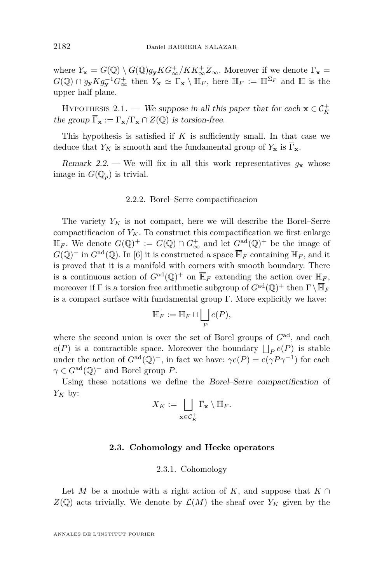where  $Y_x = G(\mathbb{Q}) \setminus G(\mathbb{Q})g_yKG^+_\infty/KK^+_\infty Z_\infty$ . Moreover if we denote  $\Gamma_x =$  $G(\mathbb{Q}) \cap g_{\mathbf{y}} K g_{\mathbf{y}}^{-1} G_{\infty}^{+}$  then  $Y_{\mathbf{x}} \simeq \Gamma_{\mathbf{x}} \setminus \mathbb{H}_F$ , here  $\mathbb{H}_F := \mathbb{H}^{\Sigma_F}$  and  $\mathbb{H}$  is the upper half plane.

<span id="page-6-0"></span>HYPOTHESIS 2.1. — We suppose in all this paper that for each  $\mathbf{x} \in C_K^+$ the group  $\overline{\Gamma}_{\mathbf{x}} := \Gamma_{\mathbf{x}} / \Gamma_{\mathbf{x}} \cap Z(\mathbb{Q})$  is torsion-free.

This hypothesis is satisfied if  $K$  is sufficiently small. In that case we deduce that  $Y_K$  is smooth and the fundamental group of  $Y_{\mathbf{x}}$  is  $\overline{\Gamma}_{\mathbf{x}}$ .

Remark 2.2. — We will fix in all this work representatives  $g_x$  whose image in  $G(\mathbb{Q}_p)$  is trivial.

# 2.2.2. Borel–Serre compactificacion

The variety  $Y_K$  is not compact, here we will describe the Borel–Serre compactificacion of  $Y_K$ . To construct this compactification we first enlarge  $\mathbb{H}_F$ . We denote  $G(\mathbb{Q})^+ := G(\mathbb{Q}) \cap G^+_{\infty}$  and let  $G^{\text{ad}}(\mathbb{Q})^+$  be the image of  $G(\mathbb{Q})^+$  in  $G^{\text{ad}}(\mathbb{Q})$ . In [\[6\]](#page-36-5) it is constructed a space  $\overline{\mathbb{H}}_F$  containing  $\mathbb{H}_F$ , and it is proved that it is a manifold with corners with smooth boundary. There is a continuous action of  $G^{\text{ad}}(\mathbb{Q})^+$  on  $\overline{\mathbb{H}}_F$  extending the action over  $\mathbb{H}_F$ , moreover if  $\Gamma$  is a torsion free arithmetic subgroup of  $G^{\rm ad}(\mathbb{Q})^+$  then  $\Gamma \setminus \overline{\mathbb{H}}_F$ is a compact surface with fundamental group Γ. More explicitly we have:

$$
\overline{\mathbb{H}}_F := \mathbb{H}_F \sqcup \bigsqcup_P e(P),
$$

where the second union is over the set of Borel groups of  $G<sup>ad</sup>$ , and each  $e(P)$  is a contractible space. Moreover the boundary  $\bigsqcup_P e(P)$  is stable under the action of  $G^{ad}(\mathbb{Q})^+$ , in fact we have:  $\gamma e(P) = e(\gamma P \gamma^{-1})$  for each  $\gamma \in G^{\rm ad}(\mathbb{Q})^+$  and Borel group *P*.

Using these notations we define the Borel–Serre compactification of  $Y_K$  by:

$$
X_K := \bigsqcup_{\mathbf{x} \in \mathcal{C}_K^+} \overline{\Gamma}_{\mathbf{x}} \setminus \overline{\mathbb{H}}_F.
$$

# **2.3. Cohomology and Hecke operators**

# 2.3.1. Cohomology

Let *M* be a module with a right action of *K*, and suppose that  $K \cap$  $Z(\mathbb{Q})$  acts trivially. We denote by  $\mathcal{L}(M)$  the sheaf over  $Y_K$  given by the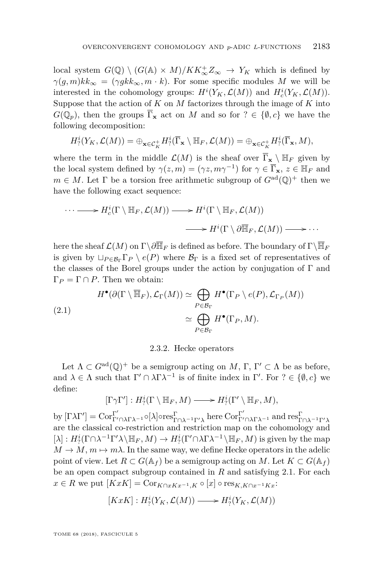local system  $G(\mathbb{Q}) \setminus (G(\mathbb{A}) \times M)/KK_{\infty}^+Z_{\infty} \to Y_K$  which is defined by  $\gamma(q, m)kk_{\infty} = (\gamma gkk_{\infty}, m \cdot k)$ . For some specific modules *M* we will be interested in the cohomology groups:  $H^i(Y_K, \mathcal{L}(M))$  and  $H^i_c(Y_K, \mathcal{L}(M))$ . Suppose that the action of *K* on *M* factorizes through the image of *K* into  $G(\mathbb{Q}_p)$ , then the groups  $\overline{\Gamma}_{\mathbf{x}}$  act on *M* and so for  $? \in \{\emptyset, c\}$  we have the following decomposition:

$$
H^i_?(\overline{Y}_K,\mathcal{L}(M)) = \bigoplus_{\mathbf{x}\in\mathcal{C}_K^+} H^i_?(\overline{\Gamma}_{\mathbf{x}}\setminus \mathbb{H}_F, \mathcal{L}(M)) = \bigoplus_{\mathbf{x}\in\mathcal{C}_K^+} H^i_?(\overline{\Gamma}_{\mathbf{x}},M),
$$

where the term in the middle  $\mathcal{L}(M)$  is the sheaf over  $\overline{\Gamma}_{\mathbf{x}} \setminus \mathbb{H}_F$  given by the local system defined by  $\gamma(z,m) = (\gamma z, m\gamma^{-1})$  for  $\gamma \in \overline{\Gamma}_{\mathbf{x}}, z \in \mathbb{H}_{F}$  and  $m \in M$ . Let  $\Gamma$  be a torsion free arithmetic subgroup of  $G^{\text{ad}}(\mathbb{Q})^+$  then we have the following exact sequence:

$$
\cdots \longrightarrow H_c^i(\Gamma \setminus \mathbb{H}_F, \mathcal{L}(M)) \longrightarrow H^i(\Gamma \setminus \mathbb{H}_F, \mathcal{L}(M))
$$
  

$$
\longrightarrow H^i(\Gamma \setminus \partial \overline{\mathbb{H}}_F, \mathcal{L}(M)) \longrightarrow \cdots
$$

here the sheaf  $\mathcal{L}(M)$  on  $\Gamma \backslash \partial \overline{\mathbb{H}}_F$  is defined as before. The boundary of  $\Gamma \backslash \overline{\mathbb{H}}_F$ is given by  $\Box_{P \in \mathcal{B}_{\Gamma}} \Gamma_P \setminus e(P)$  where  $\mathcal{B}_{\Gamma}$  is a fixed set of representatives of the classes of the Borel groups under the action by conjugation of  $\Gamma$  and  $\Gamma_P = \Gamma \cap P$ . Then we obtain:

<span id="page-7-0"></span>(2.1)  

$$
H^{\bullet}(\partial(\Gamma \setminus \overline{\mathbb{H}}_F), \mathcal{L}_{\Gamma}(M)) \simeq \bigoplus_{P \in \mathcal{B}_{\Gamma}} H^{\bullet}(\Gamma_P \setminus e(P), \mathcal{L}_{\Gamma_P}(M))
$$

$$
\simeq \bigoplus_{P \in \mathcal{B}_{\Gamma}} H^{\bullet}(\Gamma_P, M).
$$

# 2.3.2. Hecke operators

Let  $\Lambda \subset G^{ad}(\mathbb{Q})^+$  be a semigroup acting on *M*,  $\Gamma$ ,  $\Gamma' \subset \Lambda$  be as before, and  $\lambda \in \Lambda$  such that  $\Gamma' \cap \lambda \Gamma \lambda^{-1}$  is of finite index in  $\Gamma'$ . For  $? \in \{0, c\}$  we define:

$$
[\Gamma \gamma \Gamma'] : H^i_? (\Gamma \setminus \mathbb{H}_F, M) \longrightarrow H^i_? (\Gamma' \setminus \mathbb{H}_F, M),
$$

 $\mathrm{b}$ y  $[\Gamma\lambda\Gamma'] = \mathrm{Cor}_{\Gamma'\cap\lambda\Gamma\lambda^{-1}}^{\Gamma'} \circ [\lambda] \circ \mathrm{res}_{\Gamma\cap\lambda^{-1}\Gamma'\lambda}^{\Gamma}$  here  $\mathrm{Cor}_{\Gamma'\cap\lambda\Gamma\lambda^{-1}}^{\Gamma'}$  and  $\mathrm{res}_{\Gamma\cap\lambda^{-1}\Gamma'\lambda}^{\Gamma'}$ are the classical co-restriction and restriction map on the cohomology and  $[\lambda]: H_?^i(\Gamma \cap \lambda^{-1}\Gamma' \lambda \setminus \mathbb{H}_F, M) \to H_?^i(\Gamma' \cap \lambda \Gamma \lambda^{-1} \setminus \mathbb{H}_F, M)$  is given by the map  $M \to M$ ,  $m \mapsto m\lambda$ . In the same way, we define Hecke operators in the adelic point of view. Let  $R \subset G(\mathbb{A}_f)$  be a semigroup acting on M. Let  $K \subset G(\mathbb{A}_f)$ be an open compact subgroup contained in *R* and satisfying [2.1.](#page-6-0) For each *x* ∈ *R* we put  $[KxK] = \text{Cor}_{K \cap xKx^{-1}, K} \circ [x] \circ \text{res}_{K, K \cap x^{-1}Kx}$ :

$$
[KxK]: H^i_?(Y_K, \mathcal{L}(M)) \longrightarrow H^i_?(Y_K, \mathcal{L}(M))
$$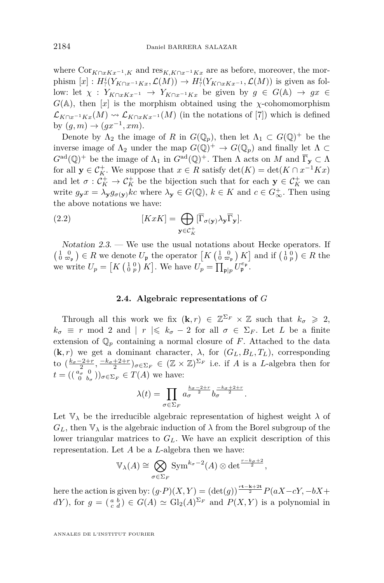where  $\text{Cor}_{K \cap x K}$ <sub>*x*−1</sub>*K* and  $\text{res}_{K, K \cap x^{-1} K}$  are as before, moreover, the morphism  $[x]: H_?^i(Y_{K \cap x^{-1}Kx}, \mathcal{L}(M)) \to H_?^i(Y_{K \cap xKx^{-1}}, \mathcal{L}(M))$  is given as follow: let  $\chi : Y_{K \cap x K x^{-1}} \to Y_{K \cap x^{-1} K x}$  be given by  $g \in G(\mathbb{A}) \to gx \in$  $G(A)$ , then [*x*] is the morphism obtained using the *χ*-cohomomorphism  $\mathcal{L}_{K\cap x^{-1}Kx}(M) \rightsquigarrow \mathcal{L}_{K\cap xKx^{-1}}(M)$  (in the notations of [\[7\]](#page-36-6)) which is defined by  $(g, m) \to (gx^{-1}, xm)$ .

Denote by  $\Lambda_2$  the image of *R* in  $G(\mathbb{Q}_p)$ , then let  $\Lambda_1 \subset G(\mathbb{Q})^+$  be the inverse image of  $\Lambda_2$  under the map  $G(\mathbb{Q})^+ \to G(\mathbb{Q}_p)$  and finally let  $\Lambda \subset$  $G^{\text{ad}}(\mathbb{Q})^+$  be the image of  $\Lambda_1$  in  $G^{\text{ad}}(\mathbb{Q})^+$ . Then  $\Lambda$  acts on  $M$  and  $\overline{\Gamma}_{\mathbf{y}} \subset \Lambda$ for all  $\mathbf{y} \in C_K^+$ . We suppose that  $x \in R$  satisfy  $\det(K) = \det(K \cap x^{-1}Kx)$ and let  $\sigma: \mathcal{C}_K^+ \to \mathcal{C}_K^+$  be the bijection such that for each  $\mathbf{y} \in \mathcal{C}_K^+$  we can write  $g_{\mathbf{y}}x = \lambda_{\mathbf{y}}g_{\sigma(\mathbf{y})}kc$  where  $\lambda_{\mathbf{y}} \in G(\mathbb{Q}), k \in K$  and  $c \in G_{\infty}^+$ . Then using the above notations we have:

(2.2) 
$$
[KxK] = \bigoplus_{\mathbf{y}\in\mathcal{C}_K^+} [\overline{\Gamma}_{\sigma(\mathbf{y})}\lambda_{\mathbf{y}}\overline{\Gamma}_{\mathbf{y}}].
$$

Notation  $2.3.$  — We use the usual notations about Hecke operators. If  $\left(\begin{smallmatrix} 1 & 0 \\ 0 & \varpi_{\frak{p}} \end{smallmatrix}\right) \in R$  we denote  $U_{\frak{p}}$  the operator  $\left[K\left(\begin{smallmatrix} 1 & 0 \\ 0 & \varpi_{\frak{p}} \end{smallmatrix}\right) K\right]$  and if  $\left(\begin{smallmatrix} 1 & 0 \\ 0 & p \end{smallmatrix}\right) \in R$  the we write  $U_p = [K(\begin{smallmatrix} 1 & 0 \\ 0 & p \end{smallmatrix}) K]$ . We have  $U_p = \prod_{\mathfrak{p} \mid p} U_{\mathfrak{p}}^{e_{\mathfrak{p}}}.$ 

# <span id="page-8-0"></span>**2.4. Algebraic representations of** *G*

<span id="page-8-1"></span>Through all this work we fix  $(\mathbf{k}, r) \in \mathbb{Z}^{\Sigma_F} \times \mathbb{Z}$  such that  $k_{\sigma} \geq 2$ ,  $k_{\sigma} \equiv r \mod 2$  and  $|r| \leq k_{\sigma} - 2$  for all  $\sigma \in \Sigma_F$ . Let *L* be a finite extension of  $\mathbb{Q}_p$  containing a normal closure of *F*. Attached to the data  $(k, r)$  we get a dominant character,  $\lambda$ , for  $(G_L, B_L, T_L)$ , corresponding to  $(\frac{k_{\sigma}-2+r}{2}, \frac{-k_{\sigma}+2+r}{2})_{\sigma \in \Sigma_F} \in (\mathbb{Z} \times \mathbb{Z})^{\Sigma_F}$  i.e. if *A* is a *L*-algebra then for  $t = \left( \begin{smallmatrix} a_{\sigma} & 0 \\ 0 & b_{\sigma} \end{smallmatrix} \right) \right)_{\sigma \in \Sigma_F} \in T(A)$  we have:

$$
\lambda(t) = \prod_{\sigma \in \Sigma_F} a_{\sigma}^{\frac{k_{\sigma}-2+r}{2}} b_{\sigma}^{\frac{-k_{\sigma}+2+r}{2}}.
$$

Let  $\mathbb{V}_{\lambda}$  be the irreducible algebraic representation of highest weight  $\lambda$  of  $G_L$ , then  $\mathbb{V}_{\lambda}$  is the algebraic induction of  $\lambda$  from the Borel subgroup of the lower triangular matrices to  $G_L$ . We have an explicit description of this representation. Let *A* be a *L*-algebra then we have:

$$
\mathbb{V}_{\lambda}(A) \cong \bigotimes_{\sigma \in \Sigma_F} \text{Sym}^{k_{\sigma}-2}(A) \otimes \det^{\frac{r-k_{\sigma}+2}{2}},
$$

here the action is given by:  $(g \cdot P)(X, Y) = (\det(g))^{\frac{rt-k+2t}{2}} P(aX - cY, -bX +$ *dY*), for  $g = \begin{pmatrix} a & b \\ c & d \end{pmatrix} \in G(A) \simeq \text{Gl}_2(A)^{\Sigma_F}$  and  $P(X, Y)$  is a polynomial in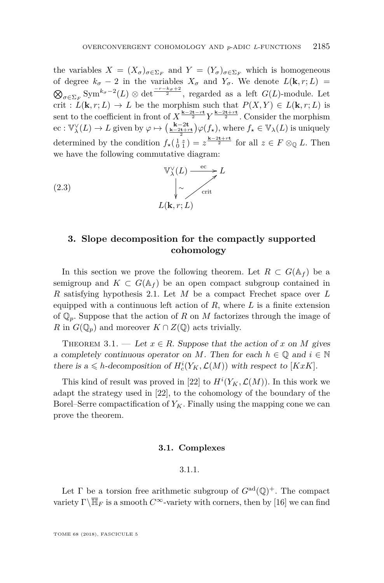the variables  $X = (X_{\sigma})_{\sigma \in \Sigma_F}$  and  $Y = (Y_{\sigma})_{\sigma \in \Sigma_F}$  which is homogeneous of degree  $k_{\sigma}$  − 2 in the variables  $X_{\sigma}$  and  $Y_{\sigma}$ . We denote  $L(\mathbf{k}, r; L)$  =  $\bigotimes_{\sigma \in \Sigma_F} \text{Sym}^{k_{\sigma}-2}(L) \otimes \det \frac{-r-k_{\sigma}+2}{2}$ , regarded as a left *G*(*L*)-module. Let crit :  $L(\mathbf{k}, r; L) \to L$  be the morphism such that  $P(X, Y) \in L(\mathbf{k}, r; L)$  is sent to the coefficient in front of  $X^{\frac{k-2t-rt}{2}} Y^{\frac{k-2t+rt}{2}}$ . Consider the morphism  $\operatorname{rec}: \mathbb{V}_{\lambda}^{\vee}(L) \to L$  given by  $\varphi \mapsto \left(\frac{\mathbf{k}-2\mathbf{t}}{\mathbf{k}-2\mathbf{t}+\mathbf{r}\mathbf{t}}\right) \varphi(f_{\star}),$  where  $f_{\star} \in \mathbb{V}_{\lambda}(L)$  is uniquely determined by the condition  $f_{\star}(\begin{smallmatrix} 1 & z \\ 0 & 1 \end{smallmatrix}) = z^{\frac{k-2t+rt}{2}}$  for all  $z \in F \otimes_{\mathbb{Q}} L$ . Then we have the following commutative diagram:

<span id="page-9-4"></span>(2.3) 
$$
\begin{array}{ccc}\n&\n\mathbb{V}_{\lambda}^{\vee}(L) \xrightarrow{\mathrm{ec}} L \\
&\downarrow \sim \qquad \qquad \downarrow \\
&L(\mathbf{k}, r; L)\n\end{array}
$$

# <span id="page-9-0"></span>**3. Slope decomposition for the compactly supported cohomology**

In this section we prove the following theorem. Let  $R \subset G(\mathbb{A}_f)$  be a semigroup and  $K \subset G(\mathbb{A}_f)$  be an open compact subgroup contained in *R* satisfying hypothesis [2.1.](#page-6-0) Let *M* be a compact Frechet space over *L* equipped with a continuous left action of *R*, where *L* is a finite extension of  $\mathbb{Q}_p$ . Suppose that the action of R on M factorizes through the image of *R* in  $G(\mathbb{Q}_p)$  and moreover  $K \cap Z(\mathbb{Q})$  acts trivially.

<span id="page-9-3"></span>THEOREM 3.1. — Let  $x \in R$ . Suppose that the action of x on M gives a completely continuous operator on *M*. Then for each  $h \in \mathbb{Q}$  and  $i \in \mathbb{N}$ there is a  $\leq$  *h*-decomposition of  $H_c^i(Y_K, \mathcal{L}(M))$  with respect to [*KxK*].

This kind of result was proved in [\[22\]](#page-37-9) to  $H^{i}(Y_K, \mathcal{L}(M))$ . In this work we adapt the strategy used in [\[22\]](#page-37-9), to the cohomology of the boundary of the Borel–Serre compactification of  $Y_K$ . Finally using the mapping cone we can prove the theorem.

#### **3.1. Complexes**

# 3.1.1.

<span id="page-9-2"></span><span id="page-9-1"></span>Let  $\Gamma$  be a torsion free arithmetic subgroup of  $G^{\text{ad}}(\mathbb{Q})^+$ . The compact variety  $\Gamma\backslash\overline{\mathbb{H}}_F$  is a smooth  $C^{\infty}$ -variety with corners, then by [\[16\]](#page-37-12) we can find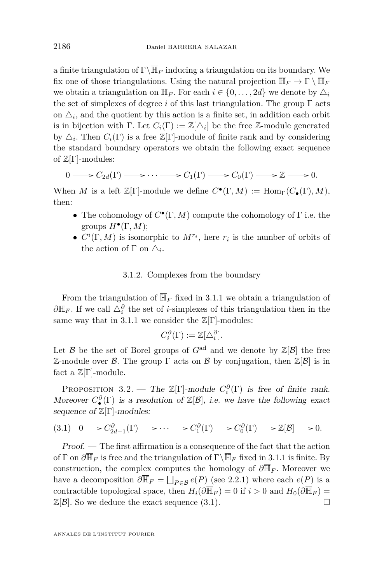a finite triangulation of  $\Gamma\backslash\overline{\mathbb{H}}_F$  inducing a triangulation on its boundary. We fix one of those triangulations. Using the natural projection  $\overline{\mathbb{H}}_F \to \Gamma \setminus \overline{\mathbb{H}}_F$ we obtain a triangulation on  $\overline{\mathbb{H}}_F$ . For each  $i \in \{0, \ldots, 2d\}$  we denote by  $\Delta_i$ the set of simplexes of degree *i* of this last triangulation. The group  $\Gamma$  acts on  $\Delta_i$ , and the quotient by this action is a finite set, in addition each orbit is in bijection with  $\Gamma$ . Let  $C_i(\Gamma) := \mathbb{Z}[\Delta_i]$  be the free Z-module generated by  $\Delta_i$ . Then  $C_i(\Gamma)$  is a free  $\mathbb{Z}[\Gamma]$ -module of finite rank and by considering the standard boundary operators we obtain the following exact sequence of  $\mathbb{Z}[\Gamma]$ -modules:

$$
0 \longrightarrow C_{2d}(\Gamma) \longrightarrow \cdots \longrightarrow C_1(\Gamma) \longrightarrow C_0(\Gamma) \longrightarrow \mathbb{Z} \longrightarrow 0.
$$

When *M* is a left  $\mathbb{Z}[\Gamma]$ -module we define  $C^{\bullet}(\Gamma, M) := \text{Hom}_{\Gamma}(C_{\bullet}(\Gamma), M)$ , then:

- The cohomology of  $C^{\bullet}(\Gamma, M)$  compute the cohomology of  $\Gamma$  i.e. the groups  $H^{\bullet}(\Gamma, M);$
- $C^i(\Gamma, M)$  is isomorphic to  $M^{r_i}$ , here  $r_i$  is the number of orbits of the action of  $\Gamma$  on  $\Delta_i$ .

# 3.1.2. Complexes from the boundary

From the triangulation of  $\overline{\mathbb{H}}_F$  fixed in [3.1.1](#page-9-1) we obtain a triangulation of  $\partial \overline{\mathbb{H}}_F$ . If we call  $\triangle_i^{\partial}$  the set of *i*-simplexes of this triangulation then in the same way that in [3.1.1](#page-9-1) we consider the  $\mathbb{Z}[\Gamma]$ -modules:

$$
C_i^{\partial}(\Gamma) := \mathbb{Z}[\Delta_i^{\partial}].
$$

Let  $\mathcal B$  be the set of Borel groups of  $G^{\text{ad}}$  and we denote by  $\mathbb Z[\mathcal B]$  the free Z-module over *B*. The group Γ acts on *B* by conjugation, then  $\mathbb{Z}[\mathcal{B}]$  is in fact a  $\mathbb{Z}[\Gamma]$ -module.

<span id="page-10-1"></span>PROPOSITION 3.2. — The  $\mathbb{Z}[\Gamma]$ -module  $C_i^{\partial}(\Gamma)$  is free of finite rank. Moreover  $C^{\partial}_{\bullet}(\Gamma)$  is a resolution of  $\mathbb{Z}[\mathcal{B}]$ , i.e. we have the following exact sequence of  $\mathbb{Z}[\Gamma]$ -modules:

<span id="page-10-0"></span>
$$
(3.1) \quad 0 \longrightarrow C_{2d-1}^{\partial}(\Gamma) \longrightarrow \cdots \longrightarrow C_1^{\partial}(\Gamma) \longrightarrow C_0^{\partial}(\Gamma) \longrightarrow \mathbb{Z}[\mathcal{B}] \longrightarrow 0.
$$

Proof. — The first affirmation is a consequence of the fact that the action of  $\Gamma$  on  $\partial \overline{\mathbb{H}}_F$  is free and the triangulation of  $\Gamma \backslash \overline{\mathbb{H}}_F$  fixed in [3.1.1](#page-9-1) is finite. By construction, the complex computes the homology of  $\partial \overline{\mathbb{H}}_F$ . Moreover we have a decomposition  $\partial \overline{\mathbb{H}}_F = \bigsqcup_{P \in \mathcal{B}} e(P)$  (see [2.2.1\)](#page-5-1) where each  $e(P)$  is a contractible topological space, then  $H_i(\partial \overline{\mathbb{H}}_F) = 0$  if  $i > 0$  and  $H_0(\partial \overline{\mathbb{H}}_F) =$  $\mathbb{Z}[\mathcal{B}]$ . So we deduce the exact sequence [\(3.1\)](#page-10-0).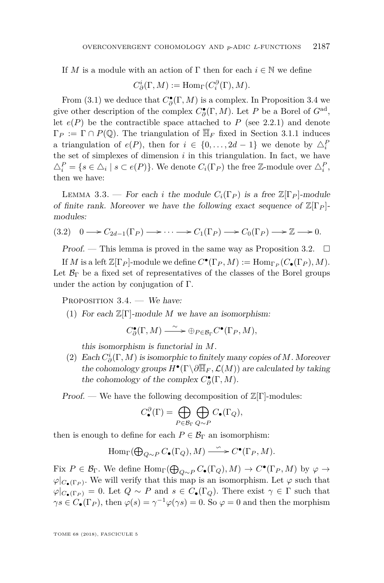If *M* is a module with an action of  $\Gamma$  then for each  $i \in \mathbb{N}$  we define

$$
C^i_{\partial}(\Gamma, M) := \text{Hom}_{\Gamma}(C^{\partial}_i(\Gamma), M).
$$

From [\(3.1\)](#page-10-0) we deduce that  $C^{\bullet}_{\partial}(\Gamma, M)$  is a complex. In Proposition [3.4](#page-11-0) we give other description of the complex  $C^{\bullet}_{\partial}(\Gamma, M)$ . Let *P* be a Borel of  $G^{\text{ad}}$ , let  $e(P)$  be the contractible space attached to  $P$  (see [2.2.1\)](#page-5-1) and denote  $\Gamma_P := \Gamma \cap P(\mathbb{Q})$ . The triangulation of  $\overline{\mathbb{H}}_F$  fixed in Section [3.1.1](#page-9-1) induces a triangulation of  $e(P)$ , then for  $i \in \{0, \ldots, 2d - 1\}$  we denote by  $\Delta_i^P$ the set of simplexes of dimension  $i$  in this triangulation. In fact, we have  $\triangle_i^P = \{ s \in \triangle_i \mid s \subset e(P) \}.$  We denote  $C_i(\Gamma_P)$  the free Z-module over  $\triangle_i^P$ , then we have:

LEMMA 3.3. — For each *i* the module  $C_i(\Gamma_P)$  is a free  $\mathbb{Z}[\Gamma_P]$ -module of finite rank. Moreover we have the following exact sequence of  $\mathbb{Z}[\Gamma_P]$ modules:

$$
(3.2) \quad 0 \longrightarrow C_{2d-1}(\Gamma_P) \longrightarrow \cdots \longrightarrow C_1(\Gamma_P) \longrightarrow C_0(\Gamma_P) \longrightarrow \mathbb{Z} \longrightarrow 0.
$$

Proof. — This lemma is proved in the same way as Proposition [3.2.](#page-10-1)  $\Box$ 

If *M* is a left  $\mathbb{Z}[\Gamma_P]$ -module we define  $C^{\bullet}(\Gamma_P, M) := \text{Hom}_{\Gamma_P}(C_{\bullet}(\Gamma_P), M)$ . Let  $\mathcal{B}_{\Gamma}$  be a fixed set of representatives of the classes of the Borel groups under the action by conjugation of Γ.

<span id="page-11-2"></span><span id="page-11-0"></span>PROPOSITION  $3.4.$  — We have:

(1) For each Z[Γ]-module *M* we have an isomorphism:

$$
C^{\bullet}_{\partial}(\Gamma, M) \xrightarrow{\ \sim\ } \oplus_{P\in {\mathcal B}_{\Gamma}} C^{\bullet}(\Gamma_{P}, M),
$$

this isomorphism is functorial in *M*.

<span id="page-11-1"></span>(2) Each  $C^i_{\partial}(\Gamma, M)$  is isomorphic to finitely many copies of *M*. Moreover the cohomology groups  $H^{\bullet}(\Gamma \backslash \partial \overline{\mathbb{H}}_F, \mathcal{L}(M))$  are calculated by taking the cohomology of the complex  $C^{\bullet}_{\partial}(\Gamma, M)$ .

Proof. — We have the following decomposition of  $\mathbb{Z}[\Gamma]$ -modules:

$$
C^{\partial}_{\bullet}(\Gamma) = \bigoplus_{P \in \mathcal{B}_{\Gamma}} \bigoplus_{Q \sim P} C_{\bullet}(\Gamma_Q),
$$

then is enough to define for each  $P \in \mathcal{B}_{\Gamma}$  an isomorphism:

$$
\operatorname{Hom}_{\Gamma}(\bigoplus_{Q \sim P} C_{\bullet}(\Gamma_Q), M) \xrightarrow{\sim} C^{\bullet}(\Gamma_P, M).
$$

Fix  $P \in \mathcal{B}_{\Gamma}$ . We define  $\text{Hom}_{\Gamma}(\bigoplus_{Q \sim P} C_{\bullet}(\Gamma_Q), M) \to C^{\bullet}(\Gamma_P, M)$  by  $\varphi \to$  $\varphi|_{C_{\bullet}(\Gamma_P)}$ . We will verify that this map is an isomorphism. Let  $\varphi$  such that  $\varphi|_{C_{\bullet}(\Gamma_P)} = 0$ . Let  $Q \sim P$  and  $s \in C_{\bullet}(\Gamma_Q)$ . There exist  $\gamma \in \Gamma$  such that  $\gamma s \in C_{\bullet}(\Gamma_P)$ , then  $\varphi(s) = \gamma^{-1} \varphi(\gamma s) = 0$ . So  $\varphi = 0$  and then the morphism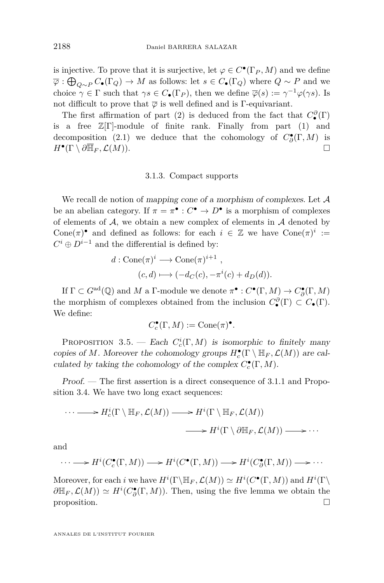is injective. To prove that it is surjective, let  $\varphi \in C^{\bullet}(\Gamma_P, M)$  and we define  $\overline{\varphi}$  :  $\bigoplus_{Q \sim P} C_{\bullet}(\Gamma_Q) \to M$  as follows: let  $s \in C_{\bullet}(\Gamma_Q)$  where  $Q \sim P$  and we choice  $\gamma \in \Gamma$  such that  $\gamma s \in C_{\bullet}(\Gamma_P)$ , then we define  $\overline{\varphi}(s) := \gamma^{-1} \varphi(\gamma s)$ . Is not difficult to prove that  $\overline{\varphi}$  is well defined and is Γ-equivariant.

The first affirmation of part [\(2\)](#page-11-1) is deduced from the fact that  $C^{\partial}_{\bullet}(\Gamma)$ is a free  $\mathbb{Z}[\Gamma]$ -module of finite rank. Finally from part [\(1\)](#page-11-2) and decomposition [\(2.1\)](#page-7-0) we deduce that the cohomology of  $C^{\bullet}_{\partial}(\Gamma, M)$  is  $H^{\bullet}(\Gamma \setminus \partial \overline{\mathbb{H}}_F, \mathcal{L}(M)).$ 

# 3.1.3. Compact supports

We recall de notion of mapping cone of a morphism of complexes. Let A be an abelian category. If  $\pi = \pi^{\bullet} : C^{\bullet} \to D^{\bullet}$  is a morphism of complexes of elements of  $A$ , we obtain a new complex of elements in  $A$  denoted by Cone( $\pi$ )<sup>•</sup> and defined as follows: for each  $i \in \mathbb{Z}$  we have Cone( $\pi$ )<sup>*i*</sup> :=  $C^i \oplus D^{i-1}$  and the differential is defined by:

$$
d: \text{Cone}(\pi)^i \longrightarrow \text{Cone}(\pi)^{i+1} ,
$$
  

$$
(c,d) \longmapsto (-d_C(c), -\pi^i(c) + d_D(d)).
$$

If  $\Gamma \subset G^{\text{ad}}(\mathbb{Q})$  and *M* a  $\Gamma$ -module we denote  $\pi^{\bullet}: C^{\bullet}(\Gamma, M) \to C^{\bullet}_{\partial}(\Gamma, M)$ the morphism of complexes obtained from the inclusion  $C^{\partial}_{\bullet}(\Gamma) \subset C_{\bullet}(\Gamma)$ . We define:

$$
C_c^\bullet(\Gamma,M):=\mathrm{Cone}(\pi)^\bullet.
$$

PROPOSITION 3.5. — Each  $C_c^i(\Gamma, M)$  is isomorphic to finitely many copies of *M*. Moreover the cohomology groups  $H_c^{\bullet}(\Gamma \setminus \mathbb{H}_F, \mathcal{L}(M))$  are calculated by taking the cohomology of the complex  $C_c^{\bullet}(\Gamma, M)$ .

Proof. — The first assertion is a direct consequence of [3.1.1](#page-9-1) and Proposition [3.4.](#page-11-0) We have two long exact sequences:

$$
\cdots \longrightarrow H_c^i(\Gamma \setminus \mathbb{H}_F, \mathcal{L}(M)) \longrightarrow H^i(\Gamma \setminus \mathbb{H}_F, \mathcal{L}(M))
$$
  

$$
\longrightarrow H^i(\Gamma \setminus \partial \mathbb{H}_F, \mathcal{L}(M)) \longrightarrow \cdots
$$

and

$$
\cdots \longrightarrow H^{i}(C_{c}^{\bullet}(\Gamma,M)) \longrightarrow H^{i}(C^{\bullet}(\Gamma,M)) \longrightarrow H^{i}(C_{\partial}^{\bullet}(\Gamma,M)) \longrightarrow \cdots
$$

Moreover, for each *i* we have  $H^i(\Gamma \backslash \mathbb{H}_F, \mathcal{L}(M)) \simeq H^i(C^{\bullet}(\Gamma, M))$  and  $H^i(\Gamma \backslash$  $\partial \mathbb{H}_F$ ,  $\mathcal{L}(M)$ )  $\simeq H^i(C^{\bullet}_{\partial}(\Gamma,M))$ . Then, using the five lemma we obtain the proposition.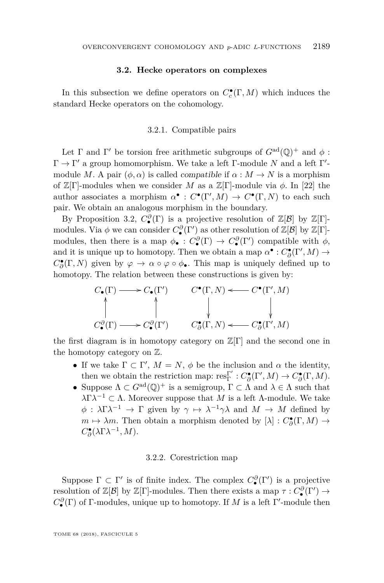## **3.2. Hecke operators on complexes**

<span id="page-13-1"></span>In this subsection we define operators on  $C_c^{\bullet}(\Gamma, M)$  which induces the standard Hecke operators on the cohomology.

# 3.2.1. Compatible pairs

<span id="page-13-0"></span>Let  $\Gamma$  and  $\Gamma'$  be torsion free arithmetic subgroups of  $G^{ad}(\mathbb{Q})^+$  and  $\phi$ :  $\Gamma \to \Gamma'$  a group homomorphism. We take a left  $\Gamma$ -module N and a left  $\Gamma'$ module *M*. A pair  $(\phi, \alpha)$  is called *compatible* if  $\alpha : M \to N$  is a morphism of  $\mathbb{Z}[\Gamma]$ -modules when we consider *M* as a  $\mathbb{Z}[\Gamma]$ -module via  $\phi$ . In [\[22\]](#page-37-9) the author associates a morphism  $\alpha^{\bullet}: C^{\bullet}(\Gamma', M) \to C^{\bullet}(\Gamma, N)$  to each such pair. We obtain an analogous morphism in the boundary.

By Proposition [3.2,](#page-10-1)  $C^{\partial}_{\bullet}(\Gamma)$  is a projective resolution of  $\mathbb{Z}[\mathcal{B}]$  by  $\mathbb{Z}[\Gamma]$ modules. Via  $\phi$  we can consider  $C^{\partial}_{\bullet}(\Gamma')$  as other resolution of  $\mathbb{Z}[\mathcal{B}]$  by  $\mathbb{Z}[\Gamma]$ modules, then there is a map  $\phi_{\bullet}: C_{\bullet}^{\partial}(\Gamma) \to C_{\bullet}^{\partial}(\Gamma')$  compatible with  $\phi$ , and it is unique up to homotopy. Then we obtain a map  $\alpha^{\bullet}: C^{\bullet}_{\partial}(\Gamma', M) \to$  $C^{\bullet}_{\partial}(\Gamma, N)$  given by  $\varphi \to \alpha \circ \varphi \circ \phi_{\bullet}$ . This map is uniquely defined up to homotopy. The relation between these constructions is given by:

$$
\begin{array}{ccc} C_{\bullet}(\Gamma) & \!\!\! \longrightarrow C_{\bullet}(\Gamma') & \!\!\! & C^{\bullet}(\Gamma,N) \longleftarrow C^{\bullet}(\Gamma',M) \\ \uparrow & \qquad \qquad \downarrow & \qquad \qquad \downarrow \\ C^{\partial}_{\bullet}(\Gamma) & \!\!\! \longrightarrow C^{\partial}_{\bullet}(\Gamma') & \!\!\! & C^{\bullet}_{\partial}(\Gamma,N) \longleftarrow C^{\bullet}_{\partial}(\Gamma',M) \end{array}
$$

the first diagram is in homotopy category on  $\mathbb{Z}[\Gamma]$  and the second one in the homotopy category on Z.

- If we take  $\Gamma \subset \Gamma'$ ,  $M = N$ ,  $\phi$  be the inclusion and  $\alpha$  the identity, then we obtain the restriction map:  $res_{\Gamma}^{\Gamma'}: C^{\bullet}_{\partial}(\Gamma', M) \to C^{\bullet}_{\partial}(\Gamma, M)$ .
- Suppose  $\Lambda \subset G^{ad}(\mathbb{Q})^+$  is a semigroup,  $\Gamma \subset \Lambda$  and  $\lambda \in \Lambda$  such that  $λΓλ<sup>-1</sup> ⊂ Λ. Moreover suppose that M is a left Λ-module. We take$  $\phi$  :  $\lambda \Gamma \lambda^{-1} \to \Gamma$  given by  $\gamma \mapsto \lambda^{-1} \gamma \lambda$  and  $M \to M$  defined by *m*  $\mapsto \lambda m$ . Then obtain a morphism denoted by  $[\lambda] : C^{\bullet}_{\partial}(\Gamma, M) \to$  $C^{\bullet}_{\partial}(\lambda \Gamma \lambda^{-1}, M)$ .

#### 3.2.2. Corestriction map

Suppose  $\Gamma \subset \Gamma'$  is of finite index. The complex  $C^{\partial}_{\bullet}(\Gamma')$  is a projective resolution of  $\mathbb{Z}[\mathcal{B}]$  by  $\mathbb{Z}[\Gamma]$ -modules. Then there exists a map  $\tau: C^{\partial}_{\bullet}(\Gamma') \to$  $C^{\partial}_{\bullet}(\Gamma)$  of Γ-modules, unique up to homotopy. If *M* is a left Γ'-module then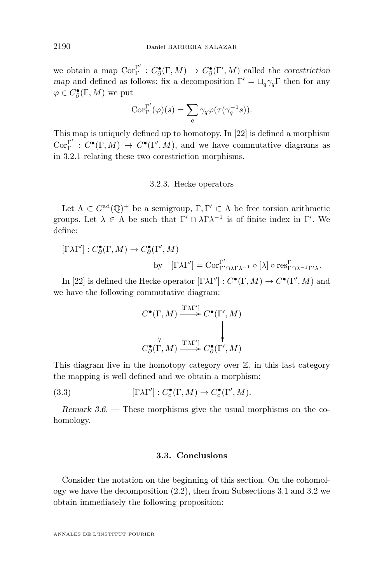we obtain a map  $Cor_{\Gamma}^{\Gamma'}$  $\Gamma$ <sup>r</sup> :  $C^{\bullet}_{\partial}(\Gamma, M) \to C^{\bullet}_{\partial}(\Gamma', M)$  called the corestriction map and defined as follows: fix a decomposition  $\Gamma' = \sqcup_q \gamma_q \Gamma$  then for any  $\varphi \in C^{\bullet}_{\partial}(\Gamma, M)$  we put

$$
Cor_{\Gamma}^{\Gamma'}(\varphi)(s) = \sum_{q} \gamma_q \varphi(\tau(\gamma_q^{-1}s)).
$$

This map is uniquely defined up to homotopy. In [\[22\]](#page-37-9) is defined a morphism  $\mathrm{Cor}^{\Gamma'}_{\Gamma}$  $\Gamma$ <sup>r</sup> :  $C^{\bullet}(\Gamma, M) \to C^{\bullet}(\Gamma', M)$ , and we have commutative diagrams as in [3.2.1](#page-13-0) relating these two corestriction morphisms.

#### 3.2.3. Hecke operators

Let  $\Lambda \subset G^{ad}(\mathbb{Q})^+$  be a semigroup,  $\Gamma, \Gamma' \subset \Lambda$  be free torsion arithmetic groups. Let  $\lambda \in \Lambda$  be such that  $\Gamma' \cap \lambda \Gamma \lambda^{-1}$  is of finite index in  $\Gamma'$ . We define:

 $[\Gamma \lambda \Gamma'] : C^{\bullet}_{\partial}(\Gamma, M) \to C^{\bullet}_{\partial}(\Gamma', M)$ 

by 
$$
[\Gamma \lambda \Gamma'] = \text{Cor}_{\Gamma' \cap \lambda \Gamma \lambda^{-1}}^{\Gamma'} \circ [\lambda] \circ \text{res}_{\Gamma \cap \lambda^{-1} \Gamma' \lambda}^{\Gamma}.
$$

In [\[22\]](#page-37-9) is defined the Hecke operator  $[\Gamma \lambda \Gamma'] : C^{\bullet}(\Gamma, M) \to C^{\bullet}(\Gamma', M)$  and we have the following commutative diagram:

$$
C^{\bullet}(\Gamma, M) \xrightarrow{[\Gamma\lambda\Gamma']} C^{\bullet}(\Gamma', M)
$$
  
\n
$$
\downarrow \qquad \qquad \downarrow
$$
  
\n
$$
C^{\bullet}_{\partial}(\Gamma, M) \xrightarrow{[\Gamma\lambda\Gamma']} C^{\bullet}_{\partial}(\Gamma', M)
$$

This diagram live in the homotopy category over  $\mathbb{Z}$ , in this last category the mapping is well defined and we obtain a morphism:

(3.3) 
$$
[\Gamma\lambda\Gamma'] : C_c^{\bullet}(\Gamma, M) \to C_c^{\bullet}(\Gamma', M).
$$

Remark 3.6. — These morphisms give the usual morphisms on the cohomology.

# **3.3. Conclusions**

Consider the notation on the beginning of this section. On the cohomology we have the decomposition [\(2.2\)](#page-8-0), then from Subsections [3.1](#page-9-2) and [3.2](#page-13-1) we obtain immediately the following proposition: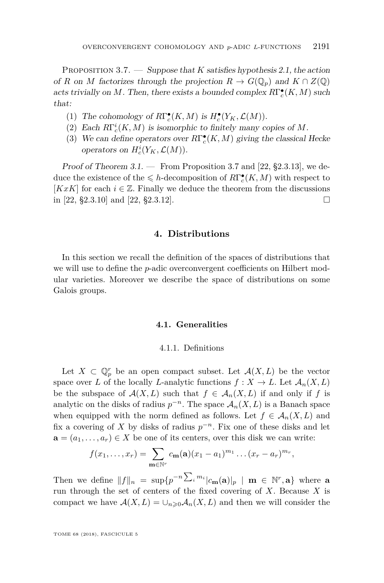<span id="page-15-1"></span>Proposition 3.7. — Suppose that *K* satisfies hypothesis [2.1,](#page-6-0) the action of *R* on *M* factorizes through the projection  $R \to G(\mathbb{Q}_p)$  and  $K \cap Z(\mathbb{Q})$ acts trivially on *M*. Then, there exists a bounded complex  $R\Gamma_c^{\bullet}(K, M)$  such that:

- (1) The cohomology of  $R\Gamma_c^{\bullet}(K,M)$  is  $H_c^{\bullet}(Y_K,\mathcal{L}(M))$ .
- (2) Each  $R\Gamma_c^i(K, M)$  is isomorphic to finitely many copies of M.
- (3) We can define operators over  $R\Gamma_c^{\bullet}(K,M)$  giving the classical Hecke operators on  $H_c^i(Y_K, \mathcal{L}(M))$ .

Proof of Theorem  $3.1.$  — From Proposition [3.7](#page-15-1) and [\[22,](#page-37-9) §2.3.13], we deduce the existence of the  $\leq h$ -decomposition of  $R\Gamma^\bullet_c(K,M)$  with respect to [ $KxK$ ] for each  $i \in \mathbb{Z}$ . Finally we deduce the theorem from the discussions in [\[22,](#page-37-9) §2.3.10] and [22, §2.3.12].

# **4. Distributions**

<span id="page-15-0"></span>In this section we recall the definition of the spaces of distributions that we will use to define the *p*-adic overconvergent coefficients on Hilbert modular varieties. Moreover we describe the space of distributions on some Galois groups.

# **4.1. Generalities**

#### 4.1.1. Definitions

<span id="page-15-2"></span>Let  $X \subset \mathbb{Q}_p^r$  be an open compact subset. Let  $\mathcal{A}(X, L)$  be the vector space over *L* of the locally *L*-analytic functions  $f: X \to L$ . Let  $\mathcal{A}_n(X, L)$ be the subspace of  $\mathcal{A}(X, L)$  such that  $f \in \mathcal{A}_n(X, L)$  if and only if f is analytic on the disks of radius  $p^{-n}$ . The space  $\mathcal{A}_n(X, L)$  is a Banach space when equipped with the norm defined as follows. Let  $f \in \mathcal{A}_n(X, L)$  and fix a covering of *X* by disks of radius  $p^{-n}$ . Fix one of these disks and let  $\mathbf{a} = (a_1, \ldots, a_r) \in X$  be one of its centers, over this disk we can write:

$$
f(x_1,\ldots,x_r)=\sum_{\mathbf{m}\in\mathbb{N}^r}c_{\mathbf{m}}(\mathbf{a})(x_1-a_1)^{m_1}\ldots(x_r-a_r)^{m_r},
$$

Then we define  $||f||_n = \sup\{p^{-n}\sum_i m_i |c_{\mathbf{m}}(\mathbf{a})|_p \mid \mathbf{m} \in \mathbb{N}^r, \mathbf{a}\}\$  where a run through the set of centers of the fixed covering of *X*. Because *X* is compact we have  $\mathcal{A}(X, L) = \bigcup_{n \geq 0} \mathcal{A}_n(X, L)$  and then we will consider the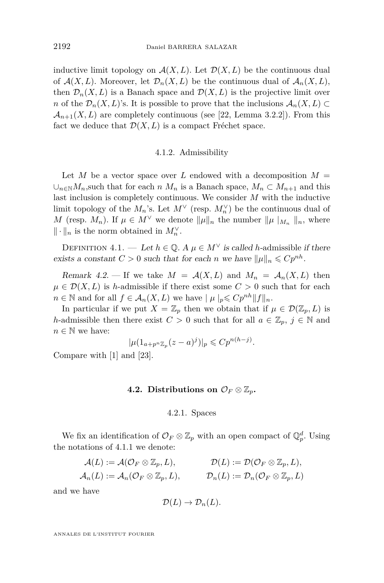inductive limit topology on  $\mathcal{A}(X, L)$ . Let  $\mathcal{D}(X, L)$  be the continuous dual of  $\mathcal{A}(X, L)$ . Moreover, let  $\mathcal{D}_n(X, L)$  be the continuous dual of  $\mathcal{A}_n(X, L)$ , then  $\mathcal{D}_n(X, L)$  is a Banach space and  $\mathcal{D}(X, L)$  is the projective limit over *n* of the  $\mathcal{D}_n(X, L)$ 's. It is possible to prove that the inclusions  $\mathcal{A}_n(X, L) \subset$  $\mathcal{A}_{n+1}(X,L)$  are completely continuous (see [\[22,](#page-37-9) Lemma 3.2.2]). From this fact we deduce that  $\mathcal{D}(X, L)$  is a compact Fréchet space.

# 4.1.2. Admissibility

Let *M* be a vector space over *L* endowed with a decomposition  $M =$ ∪<sub>*n*∈N</sub>*M*<sub>*n*</sub>,such that for each *n*  $M_n$  is a Banach space,  $M_n \subset M_{n+1}$  and this last inclusion is completely continuous. We consider *M* with the inductive limit topology of the  $M_n$ 's. Let  $M^{\vee}$  (resp.  $M_n^{\vee}$ ) be the continuous dual of *M* (resp. *M<sub>n</sub>*). If  $\mu \in M^{\vee}$  we denote  $\|\mu\|_{n}$  the number  $\|\mu\|_{M_{n}}\|_{n}$ , where  $\|\cdot\|_n$  is the norm obtained in  $M_n^{\vee}$ .

DEFINITION 4.1. — Let  $h \in \mathbb{Q}$ . A  $\mu \in M^{\vee}$  is called *h*-admissible if there exists a constant  $C > 0$  such that for each *n* we have  $||\mu||_n \leqslant Cp^{nh}$ .

Remark 4.2. – If we take  $M = \mathcal{A}(X, L)$  and  $M_n = \mathcal{A}_n(X, L)$  then  $\mu \in \mathcal{D}(X, L)$  is *h*-admissible if there exist some  $C > 0$  such that for each *n* ∈ N and for all *f* ∈  $\mathcal{A}_n(X, L)$  we have  $|\mu|_p \leq C p^{nh} ||f||_n$ .

In particular if we put  $X = \mathbb{Z}_p$  then we obtain that if  $\mu \in \mathcal{D}(\mathbb{Z}_p, L)$  is *h*-admissible then there exist  $C > 0$  such that for all  $a \in \mathbb{Z}_p$ ,  $j \in \mathbb{N}$  and  $n \in \mathbb{N}$  we have:

$$
|\mu(1_{a+p^n\mathbb{Z}_p}(z-a)^j)|_p \leqslant Cp^{n(h-j)}.
$$

Compare with [\[1\]](#page-36-7) and [\[23\]](#page-37-13).

# **4.2.** Distributions on  $\mathcal{O}_F \otimes \mathbb{Z}_p$ .

# 4.2.1. Spaces

We fix an identification of  $\mathcal{O}_F \otimes \mathbb{Z}_p$  with an open compact of  $\mathbb{Q}_p^d$ . Using the notations of [4.1.1](#page-15-2) we denote:

$$
\begin{aligned} \mathcal{A}(L) &:= \mathcal{A}(\mathcal{O}_F \otimes \mathbb{Z}_p, L), & \mathcal{D}(L) &:= \mathcal{D}(\mathcal{O}_F \otimes \mathbb{Z}_p, L), \\ \mathcal{A}_n(L) &:= \mathcal{A}_n(\mathcal{O}_F \otimes \mathbb{Z}_p, L), & \mathcal{D}_n(L) &:= \mathcal{D}_n(\mathcal{O}_F \otimes \mathbb{Z}_p, L) \end{aligned}
$$

and we have

$$
\mathcal{D}(L) \to \mathcal{D}_n(L).
$$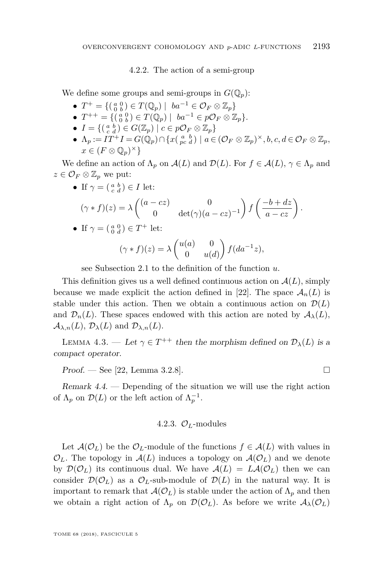# 4.2.2. The action of a semi-group

We define some groups and semi-groups in  $G(\mathbb{Q}_p)$ :

- $T^+ = \{(\begin{smallmatrix} a & 0 \\ 0 & b \end{smallmatrix}) \in T(\mathbb{Q}_p) \mid ba^{-1} \in \mathcal{O}_F \otimes \mathbb{Z}_p\}$
- $T^{++} = \{(\begin{smallmatrix} a & 0 \\ 0 & b \end{smallmatrix}) \in T(\mathbb{Q}_p) \mid ba^{-1} \in p\mathcal{O}_F \otimes \mathbb{Z}_p\}.$
- $I = \{ (\begin{smallmatrix} a & b \\ c & d \end{smallmatrix}) \in G(\mathbb{Z}_p) \mid c \in p\mathcal{O}_F \otimes \mathbb{Z}_p \}$
- **•**  $\Lambda_p := IT^+I = G(\mathbb{Q}_p) \cap \{x \in \mathcal{P}_c \mid a \in (\mathcal{O}_F \otimes \mathbb{Z}_p)^{\times}, b, c, d \in \mathcal{O}_F \otimes \mathbb{Z}_p,$  $x \in (F \otimes \mathbb{Q}_p)^{\times}$

We define an action of  $\Lambda_p$  on  $\mathcal{A}(L)$  and  $\mathcal{D}(L)$ . For  $f \in \mathcal{A}(L)$ ,  $\gamma \in \Lambda_p$  and  $z \in \mathcal{O}_F \otimes \mathbb{Z}_p$  we put:

• If  $\gamma = \begin{pmatrix} a & b \\ c & d \end{pmatrix} \in I$  let:

$$
(\gamma * f)(z) = \lambda \begin{pmatrix} (a - cz) & 0 \\ 0 & \det(\gamma)(a - cz)^{-1} \end{pmatrix} f\left(\frac{-b + dz}{a - cz}\right).
$$

• If 
$$
\gamma = \begin{pmatrix} a & 0 \\ 0 & d \end{pmatrix} \in T^+
$$
 let:

$$
(\gamma * f)(z) = \lambda \begin{pmatrix} u(a) & 0 \\ 0 & u(d) \end{pmatrix} f(da^{-1}z),
$$

see Subsection [2.1](#page-5-2) to the definition of the function *u*.

This definition gives us a well defined continuous action on  $A(L)$ , simply because we made explicit the action defined in [\[22\]](#page-37-9). The space  $\mathcal{A}_n(L)$  is stable under this action. Then we obtain a continuous action on  $\mathcal{D}(L)$ and  $\mathcal{D}_n(L)$ . These spaces endowed with this action are noted by  $\mathcal{A}_\lambda(L)$ ,  $\mathcal{A}_{\lambda,n}(L), \mathcal{D}_{\lambda}(L)$  and  $\mathcal{D}_{\lambda,n}(L)$ .

LEMMA 4.3. — Let  $\gamma \in T^{++}$  then the morphism defined on  $\mathcal{D}_{\lambda}(L)$  is a compact operator.

 $Proof.$  — See [\[22,](#page-37-9) Lemma 3.2.8].

Remark 4.4. — Depending of the situation we will use the right action of  $\Lambda_p$  on  $\mathcal{D}(L)$  or the left action of  $\Lambda_p^{-1}$ .

# 4.2.3.  $\mathcal{O}_L$ -modules

<span id="page-17-0"></span>Let  $\mathcal{A}(\mathcal{O}_L)$  be the  $\mathcal{O}_L$ -module of the functions  $f \in \mathcal{A}(L)$  with values in  $\mathcal{O}_L$ . The topology in  $\mathcal{A}(L)$  induces a topology on  $\mathcal{A}(\mathcal{O}_L)$  and we denote by  $\mathcal{D}(\mathcal{O}_L)$  its continuous dual. We have  $\mathcal{A}(L) = L\mathcal{A}(\mathcal{O}_L)$  then we can consider  $\mathcal{D}(\mathcal{O}_L)$  as a  $\mathcal{O}_L$ -sub-module of  $\mathcal{D}(L)$  in the natural way. It is important to remark that  $\mathcal{A}(\mathcal{O}_L)$  is stable under the action of  $\Lambda_p$  and then we obtain a right action of  $\Lambda_p$  on  $\mathcal{D}(\mathcal{O}_L)$ . As before we write  $\mathcal{A}_{\lambda}(\mathcal{O}_L)$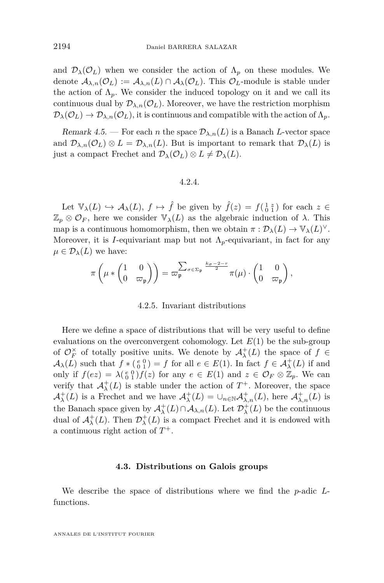and  $\mathcal{D}_{\lambda}(\mathcal{O}_L)$  when we consider the action of  $\Lambda_p$  on these modules. We denote  $\mathcal{A}_{\lambda,n}(\mathcal{O}_L) := \mathcal{A}_{\lambda,n}(L) \cap \mathcal{A}_{\lambda}(\mathcal{O}_L)$ . This  $\mathcal{O}_L$ -module is stable under the action of  $\Lambda_p$ . We consider the induced topology on it and we call its continuous dual by  $\mathcal{D}_{\lambda,n}(\mathcal{O}_L)$ . Moreover, we have the restriction morphism  $\mathcal{D}_{\lambda}(\mathcal{O}_L) \to \mathcal{D}_{\lambda,n}(\mathcal{O}_L)$ , it is continuous and compatible with the action of  $\Lambda_p$ .

Remark 4.5. — For each *n* the space  $\mathcal{D}_{\lambda,n}(L)$  is a Banach *L*-vector space and  $\mathcal{D}_{\lambda,n}(\mathcal{O}_L) \otimes L = \mathcal{D}_{\lambda,n}(L)$ . But is important to remark that  $\mathcal{D}_{\lambda}(L)$  is just a compact Frechet and  $\mathcal{D}_{\lambda}(\mathcal{O}_L) \otimes L \neq \mathcal{D}_{\lambda}(L)$ .

# 4.2.4.

<span id="page-18-0"></span>Let  $\mathbb{V}_{\lambda}(L) \hookrightarrow \mathcal{A}_{\lambda}(L)$ ,  $f \mapsto \hat{f}$  be given by  $\hat{f}(z) = f(\begin{smallmatrix} 1 & z \\ 0 & 1 \end{smallmatrix})$  for each  $z \in$  $\mathbb{Z}_p \otimes \mathcal{O}_F$ , here we consider  $\mathbb{V}_\lambda(L)$  as the algebraic induction of  $\lambda$ . This map is a continuous homomorphism, then we obtain  $\pi : \mathcal{D}_{\lambda}(L) \to \mathbb{V}_{\lambda}(L)^{\vee}$ . Moreover, it is *I*-equivariant map but not  $\Lambda_p$ -equivariant, in fact for any  $\mu \in \mathcal{D}_{\lambda}(L)$  we have:

$$
\pi\left(\mu*\begin{pmatrix}1&0\\0&\varpi_{\mathfrak{p}}\end{pmatrix}\right)=\varpi_{\mathfrak{p}}^{\sum_{\sigma\in\Sigma_{\mathfrak{p}}}\frac{k_{\sigma}-2-r}{2}}\pi(\mu)\cdot\begin{pmatrix}1&0\\0&\varpi_{\mathfrak{p}}\end{pmatrix},
$$

## 4.2.5. Invariant distributions

<span id="page-18-2"></span>Here we define a space of distributions that will be very useful to define evaluations on the overconvergent cohomology. Let  $E(1)$  be the sub-group of  $\mathcal{O}_F^{\times}$  of totally positive units. We denote by  $\mathcal{A}_{\lambda}^+(L)$  the space of  $f \in$  $\mathcal{A}_{\lambda}(L)$  such that  $f * \begin{pmatrix} e & 0 \\ 0 & 1 \end{pmatrix} = f$  for all  $e \in E(1)$ . In fact  $f \in \mathcal{A}_{\lambda}^+(L)$  if and only if  $f(ez) = \lambda(\begin{smallmatrix} e & 0 \\ 0 & 1 \end{smallmatrix}) f(z)$  for any  $e \in E(1)$  and  $z \in \mathcal{O}_F \otimes \mathbb{Z}_p$ . We can verify that  $\mathcal{A}^+_\lambda(L)$  is stable under the action of  $T^+$ . Moreover, the space  $\mathcal{A}^+_{\lambda}(L)$  is a Frechet and we have  $\mathcal{A}^+_{\lambda}(L) = \cup_{n \in \mathbb{N}} \mathcal{A}^+_{\lambda,n}(L)$ , here  $\mathcal{A}^+_{\lambda,n}(L)$  is the Banach space given by  $\mathcal{A}^+_\lambda(L) \cap \mathcal{A}_{\lambda,n}(L)$ . Let  $\mathcal{D}^+_\lambda(L)$  be the continuous dual of  $\mathcal{A}^+_\lambda(L)$ . Then  $\mathcal{D}^+_\lambda(L)$  is a compact Frechet and it is endowed with a continuous right action of *T* +.

### **4.3. Distributions on Galois groups**

<span id="page-18-1"></span>We describe the space of distributions where we find the *p*-adic *L*functions.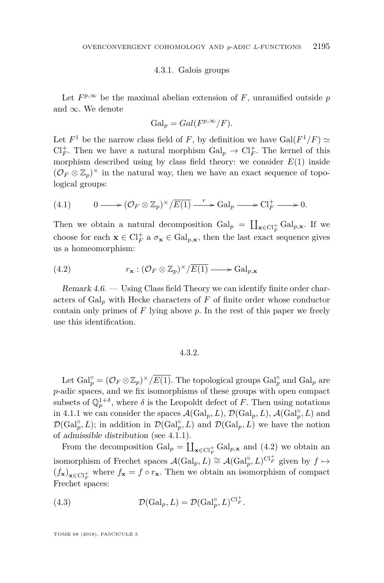#### 4.3.1. Galois groups

Let  $F^{p,\infty}$  be the maximal abelian extension of F, unramified outside p and  $\infty$ . We denote

$$
Gal_p = Gal(F^{p,\infty}/F).
$$

Let  $F^1$  be the narrow class field of F, by definition we have  $Gal(F^1/F) \simeq$  $\mathrm{Cl}_F^+$ . Then we have a natural morphism  $\mathrm{Gal}_p \to \mathrm{Cl}_F^+$ . The kernel of this morphism described using by class field theory: we consider  $E(1)$  inside  $(\mathcal{O}_F \otimes \mathbb{Z}_p)^{\times}$  in the natural way, then we have an exact sequence of topological groups:

(4.1) 
$$
0 \longrightarrow (\mathcal{O}_F \otimes \mathbb{Z}_p)^{\times}/\overline{E(1)} \longrightarrow \mathrm{Gal}_p \longrightarrow \mathrm{Cl}_F^+ \longrightarrow 0.
$$

Then we obtain a natural decomposition  $Gal_p = \coprod_{\mathbf{x} \in Cl_F^+} Gal_{p,\mathbf{x}}$ . If we choose for each  $\mathbf{x} \in \mathrm{Cl}_F^+$  a  $\sigma_{\mathbf{x}} \in \mathrm{Gal}_{p,\mathbf{x}}$ , then the last exact sequence gives us a homeomorphism:

<span id="page-19-0"></span>(4.2) 
$$
r_{\mathbf{x}} : (\mathcal{O}_F \otimes \mathbb{Z}_p)^{\times}/\overline{E(1)} \longrightarrow \mathrm{Gal}_{p,\mathbf{x}}
$$

<span id="page-19-3"></span>Remark 4.6. — Using Class field Theory we can identify finite order characters of Gal*<sup>p</sup>* with Hecke characters of *F* of finite order whose conductor contain only primes of *F* lying above *p*. In the rest of this paper we freely use this identification.

# 4.3.2.

<span id="page-19-2"></span>Let  $Gal_p^{\circ} = (\mathcal{O}_F \otimes \mathbb{Z}_p)^{\times}/\overline{E(1)}$ . The topological groups  $Gal_p^{\circ}$  and  $Gal_p$  are *p*-adic spaces, and we fix isomorphisms of these groups with open compact subsets of  $\mathbb{Q}_p^{1+\delta}$ , where  $\delta$  is the Leopoldt defect of F. Then using notations in [4.1.1](#page-15-2) we can consider the spaces  $\mathcal{A}(\text{Gal}_p, L)$ ,  $\mathcal{D}(\text{Gal}_p, L)$ ,  $\mathcal{A}(\text{Gal}_p^{\circ}, L)$  and  $\mathcal{D}(\text{Gal}_{p}^{\circ}, L)$ ; in addition in  $\mathcal{D}(\text{Gal}_{p}^{\circ}, L)$  and  $\mathcal{D}(\text{Gal}_{p}, L)$  we have the notion of admissible distribution (see [4.1.1\)](#page-15-2).

From the decomposition  $Gal_p = \coprod_{\mathbf{x} \in Cl_F^+} Gal_{p,\mathbf{x}}$  and [\(4.2\)](#page-19-0) we obtain an isomorphism of Frechet spaces  $\mathcal{A}(\text{Gal}_p, L) \cong \mathcal{A}(\text{Gal}_p^{\circ}, L)^{\text{Cl}_F^+}$  given by  $f \mapsto$  $(f_{\mathbf{x}})_{\mathbf{x} \in \mathrm{Cl}_F^+}$  where  $f_{\mathbf{x}} = f \circ r_{\mathbf{x}}$ . Then we obtain an isomorphism of compact Frechet spaces:

<span id="page-19-1"></span>(4.3) 
$$
\mathcal{D}(\text{Gal}_p, L) = \mathcal{D}(\text{Gal}_p^{\circ}, L)^{\text{Cl}_F^+}.
$$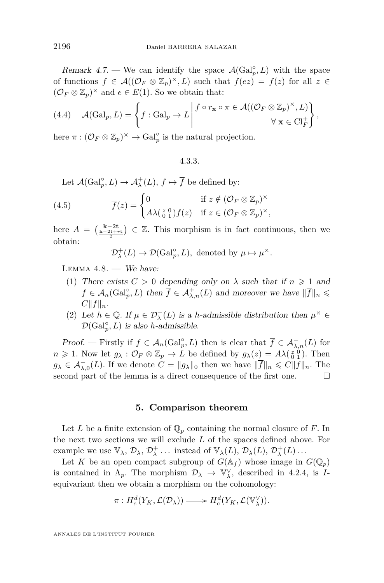Remark 4.7. — We can identify the space  $\mathcal{A}(\text{Gal}_p^{\circ}, L)$  with the space of functions  $f \in \mathcal{A}((\mathcal{O}_F \otimes \mathbb{Z}_p)^{\times}, L)$  such that  $f(ez) = f(z)$  for all  $z \in$  $(\mathcal{O}_F \otimes \mathbb{Z}_p)^{\times}$  and  $e \in E(1)$ . So we obtain that:

(4.4) 
$$
\mathcal{A}(\mathrm{Gal}_p, L) = \left\{ f : \mathrm{Gal}_p \to L \middle| \begin{matrix} f \circ r_{\mathbf{x}} \circ \pi \in \mathcal{A}((\mathcal{O}_F \otimes \mathbb{Z}_p)^{\times}, L) \\ \forall \mathbf{x} \in \mathrm{Cl}_F^+ \end{matrix} \right\},
$$

here  $\pi : (\mathcal{O}_F \otimes \mathbb{Z}_p)^{\times} \to \text{Gal}_p^{\circ}$  is the natural projection.

# 4.3.3.

<span id="page-20-2"></span>Let  $\mathcal{A}(\text{Gal}_{p}^{\circ}, L) \to \mathcal{A}_{\lambda}^{+}(L), f \mapsto \overline{f}$  be defined by:

(4.5) 
$$
\overline{f}(z) = \begin{cases} 0 & \text{if } z \notin (\mathcal{O}_F \otimes \mathbb{Z}_p)^{\times} \\ A\lambda(\frac{z}{0 1})f(z) & \text{if } z \in (\mathcal{O}_F \otimes \mathbb{Z}_p)^{\times}, \end{cases}
$$

here  $A = \left(\frac{k-2t}{2} + \frac{t}{2} + \frac{t}{2}\right) \in \mathbb{Z}$ . This morphism is in fact continuous, then we obtain:

 $\mathcal{D}_{\lambda}^{+}(L) \to \mathcal{D}(\text{Gal}_{p}^{\circ}, L)$ , denoted by  $\mu \mapsto \mu^{\times}$ .

<span id="page-20-1"></span>LEMMA  $4.8.$  — We have:

- (1) There exists  $C > 0$  depending only on  $\lambda$  such that if  $n \geq 1$  and  $f \in \mathcal{A}_n(\text{Gal}_p^{\circ}, L)$  then  $\overline{f} \in \mathcal{A}_{\lambda,n}^+(L)$  and moreover we have  $\|\overline{f}\|_n \leq$  $C||f||_n$ .
- (2) Let  $h \in \mathbb{Q}$ . If  $\mu \in \mathcal{D}_{\lambda}^+(L)$  is a *h*-admissible distribution then  $\mu^{\times} \in$  $\mathcal{D}(\text{Gal}_{p}^{\circ}, L)$  is also *h*-admissible.

Proof. — Firstly if  $f \in \mathcal{A}_n(\text{Gal}_p^{\circ}, L)$  then is clear that  $\overline{f} \in \mathcal{A}_{\lambda,n}^+(L)$  for  $n \geq 1$ . Now let  $g_{\lambda}: \mathcal{O}_F \otimes \mathbb{Z}_p \to \tilde{L}$  be defined by  $g_{\lambda}(z) = A \lambda \left(\begin{smallmatrix} z & 0 \\ 0 & 1 \end{smallmatrix}\right)$ . Then  $g_{\lambda} \in \mathcal{A}_{\lambda,0}^{+}(L)$ . If we denote  $C = ||g_{\lambda}||_{0}$  then we have  $||\overline{f}||_{n} \leq C||f||_{n}$ . The second part of the lemma is a direct consequence of the first one.  $\Box$ 

# **5. Comparison theorem**

<span id="page-20-0"></span>Let *L* be a finite extension of  $\mathbb{Q}_p$  containing the normal closure of *F*. In the next two sections we will exclude *L* of the spaces defined above. For example we use  $\mathbb{V}_{\lambda}$ ,  $\mathcal{D}_{\lambda}$ ,  $\mathcal{D}_{\lambda}^{+}$ ... instead of  $\mathbb{V}_{\lambda}(L)$ ,  $\mathcal{D}_{\lambda}(L)$ ,  $\mathcal{D}_{\lambda}^{+}(L)$ ...

Let *K* be an open compact subgroup of  $G(\mathbb{A}_f)$  whose image in  $G(\mathbb{Q}_p)$ is contained in  $\Lambda_p$ . The morphism  $\mathcal{D}_\lambda \to \mathbb{V}_\lambda^\vee$ , described in [4.2.4,](#page-18-0) is *I*equivariant then we obtain a morphism on the cohomology:

$$
\pi: H_c^d(Y_K, \mathcal{L}(\mathcal{D}_\lambda)) \longrightarrow H_c^d(Y_K, \mathcal{L}(\mathbb{V}_\lambda^\vee)).
$$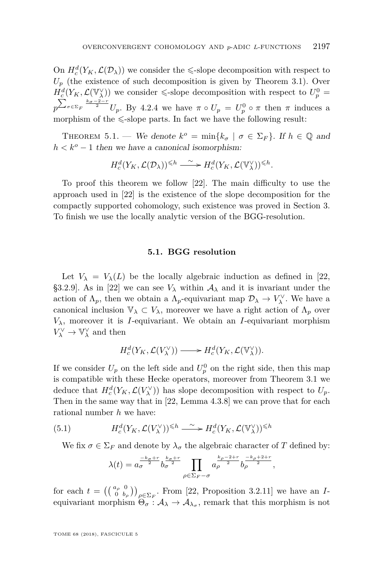On  $H_c^d(Y_K, \mathcal{L}(\mathcal{D}_\lambda))$  we consider the  $\le$ -slope decomposition with respect to  $U_p$  (the existence of such decomposition is given by Theorem [3.1\)](#page-9-3). Over  $H_c^d(Y_K, \mathcal{L}(\mathbb{V}_\lambda^\vee))$  we consider  $\le$ -slope decomposition with respect to  $U_p^0$  =  $p^{\sum_{\sigma \in \Sigma_F} \frac{k_{\sigma} - 2 - r}{2}} U_p$ . By [4.2.4](#page-18-0) we have  $\pi \circ U_p = U_p^0 \circ \pi$  then  $\pi$  induces a morphism of the  $\leq$ -slope parts. In fact we have the following result:

<span id="page-21-0"></span>THEOREM 5.1. — We denote  $k^o = \min\{k_{\sigma} \mid \sigma \in \Sigma_F\}$ . If  $h \in \mathbb{Q}$  and  $h < k^o - 1$  then we have a canonical isomorphism:

$$
H_c^d(Y_K, \mathcal{L}(\mathcal{D}_\lambda))^{\leq h} \xrightarrow{\sim} H_c^d(Y_K, \mathcal{L}(\mathbb{V}_\lambda^{\vee}))^{\leq h}.
$$

To proof this theorem we follow [\[22\]](#page-37-9). The main difficulty to use the approach used in [\[22\]](#page-37-9) is the existence of the slope decomposition for the compactly supported cohomology, such existence was proved in Section [3.](#page-9-0) To finish we use the locally analytic version of the BGG-resolution.

# **5.1. BGG resolution**

<span id="page-21-1"></span>Let  $V_{\lambda} = V_{\lambda}(L)$  be the locally algebraic induction as defined in [\[22,](#page-37-9) §3.2.9]. As in [\[22\]](#page-37-9) we can see  $V_{\lambda}$  within  $A_{\lambda}$  and it is invariant under the action of  $\Lambda_p$ , then we obtain a  $\Lambda_p$ -equivariant map  $\mathcal{D}_\lambda \to V_\lambda^\vee$ . We have a canonical inclusion  $\mathbb{V}_{\lambda} \subset V_{\lambda}$ , moreover we have a right action of  $\Lambda_p$  over  $V_{\lambda}$ , moreover it is *I*-equivariant. We obtain an *I*-equivariant morphism  $V_\lambda^\vee \to \mathbb{V}_\lambda^\vee$  and then

$$
H_c^d(Y_K, \mathcal{L}(V_\lambda^\vee)) \longrightarrow H_c^d(Y_K, \mathcal{L}(\mathbb{V}_\lambda^\vee)).
$$

If we consider  $U_p$  on the left side and  $U_p^0$  on the right side, then this map is compatible with these Hecke operators, moreover from Theorem [3.1](#page-9-3) we deduce that  $H_c^d(Y_K, \mathcal{L}(V_\lambda^\vee))$  has slope decomposition with respect to  $U_p$ . Then in the same way that in [\[22,](#page-37-9) Lemma 4.3.8] we can prove that for each rational number *h* we have:

(5.1) 
$$
H_c^d(Y_K, \mathcal{L}(V_\lambda^\vee))^{\leq h} \xrightarrow{\sim} H_c^d(Y_K, \mathcal{L}(\mathbb{V}_\lambda^\vee))^{\leq h}
$$

We fix  $\sigma \in \Sigma_F$  and denote by  $\lambda_{\sigma}$  the algebraic character of *T* defined by:

<span id="page-21-2"></span>
$$
\lambda(t) = a_{\sigma}^{-\frac{k_{\sigma}+r}{2}} b_{\sigma}^{\frac{k_{\sigma}+r}{2}} \prod_{\rho \in \Sigma_F - \sigma} a_{\rho}^{\frac{k_{\rho}-2+r}{2}} b_{\rho}^{\frac{-k_{\rho}+2+r}{2}},
$$

for each  $t = \left( \begin{pmatrix} a_{\rho} & 0 \\ 0 & b_{\rho} \end{pmatrix} \right)_{\rho \in \Sigma_F}$ . From [\[22,](#page-37-9) Proposition 3.2.11] we have an *I*equivariant morphism  $\Theta_{\sigma} : A_{\lambda} \to A_{\lambda_{\sigma}}$ , remark that this morphism is not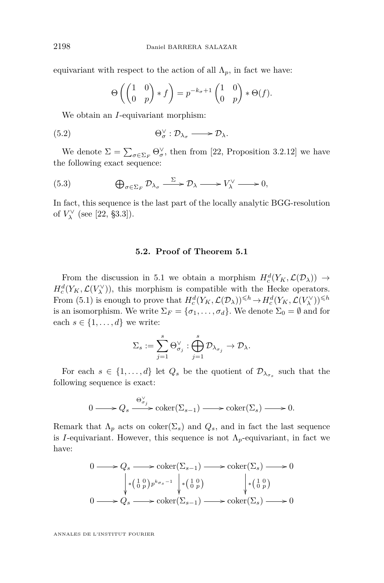equivariant with respect to the action of all  $\Lambda_p$ , in fact we have:

$$
\Theta\left(\begin{pmatrix} 1 & 0 \\ 0 & p \end{pmatrix} * f\right) = p^{-k_{\sigma}+1} \begin{pmatrix} 1 & 0 \\ 0 & p \end{pmatrix} * \Theta(f).
$$

We obtain an *I*-equivariant morphism:

$$
(5.2) \t\t \Theta_{\sigma}^{\vee} : \mathcal{D}_{\lambda_{\sigma}} \longrightarrow \mathcal{D}_{\lambda}.
$$

We denote  $\Sigma = \sum_{\sigma \in \Sigma_F} \Theta_{\sigma}^{\vee}$ , then from [\[22,](#page-37-9) Proposition 3.2.12] we have the following exact sequence:

<span id="page-22-0"></span>(5.3) 
$$
\bigoplus_{\sigma \in \Sigma_F} \mathcal{D}_{\lambda_{\sigma}} \xrightarrow{\Sigma} \mathcal{D}_{\lambda} \longrightarrow V_{\lambda}^{\vee} \longrightarrow 0,
$$

In fact, this sequence is the last part of the locally analytic BGG-resolution of  $V_{\lambda}^{\vee}$  (see [\[22,](#page-37-9) §3.3]).

# **5.2. Proof of Theorem [5.1](#page-21-0)**

From the discussion in [5.1](#page-21-1) we obtain a morphism  $H_c^d(Y_K, \mathcal{L}(\mathcal{D}_\lambda)) \to$  $H_c^d(Y_K, \mathcal{L}(V_\lambda^\vee))$ , this morphism is compatible with the Hecke operators. From [\(5.1\)](#page-21-2) is enough to prove that  $H_c^d(Y_K, \mathcal{L}(\mathcal{D}_\lambda))^{\leq h} \to H_c^d(Y_K, \mathcal{L}(V_\lambda^\vee))^{\leq h}$ is an isomorphism. We write  $\Sigma_F = {\sigma_1, \ldots, \sigma_d}$ . We denote  $\Sigma_0 = \emptyset$  and for each  $s \in \{1, \ldots, d\}$  we write:

$$
\Sigma_s:=\sum_{j=1}^s\Theta_{\sigma_j}^\vee:\bigoplus_{j=1}^s\mathcal{D}_{\lambda_{\sigma_j}}\to\mathcal{D}_{\lambda}.
$$

For each  $s \in \{1, \ldots, d\}$  let  $Q_s$  be the quotient of  $\mathcal{D}_{\lambda_{\sigma_s}}$  such that the following sequence is exact:

$$
0 \longrightarrow Q_s \xrightarrow{\Theta^{\vee}_{\sigma_j}} \operatorname{coker}(\Sigma_{s-1}) \longrightarrow \operatorname{coker}(\Sigma_s) \longrightarrow 0.
$$

Remark that  $\Lambda_p$  acts on coker( $\Sigma_s$ ) and  $Q_s$ , and in fact the last sequence is *I*-equivariant. However, this sequence is not  $\Lambda_p$ -equivariant, in fact we have:

$$
0 \longrightarrow Q_s \longrightarrow \operatorname{coker}(\Sigma_{s-1}) \longrightarrow \operatorname{coker}(\Sigma_s) \longrightarrow 0
$$
  
\n
$$
\downarrow \begin{array}{c} \downarrow \downarrow 0 \\ \downarrow \downarrow 0 \\ \downarrow \end{array} p^{\mu_{\sigma_s-1}} \downarrow \begin{array}{c} \downarrow \downarrow 0 \\ \downarrow \downarrow 0 \\ \downarrow \end{array} p \longrightarrow \text{coker}(\Sigma_s) \longrightarrow 0
$$
  
\n
$$
0 \longrightarrow Q_s \longrightarrow \operatorname{coker}(\Sigma_{s-1}) \longrightarrow \operatorname{coker}(\Sigma_s) \longrightarrow 0
$$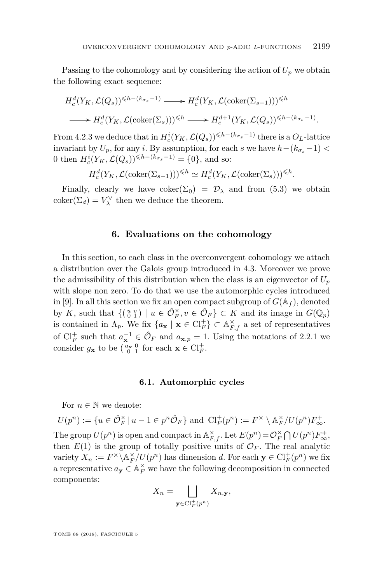Passing to the cohomology and by considering the action of  $U_p$  we obtain the following exact sequence:

$$
H_c^d(Y_K, \mathcal{L}(Q_s))^{\leq h - (k_{\sigma_s} - 1)} \longrightarrow H_c^d(Y_K, \mathcal{L}(\text{coker}(\Sigma_{s-1})))^{\leq h}
$$
  

$$
\longrightarrow H_c^d(Y_K, \mathcal{L}(\text{coker}(\Sigma_s)))^{\leq h} \longrightarrow H_c^{d+1}(Y_K, \mathcal{L}(Q_s))^{\leq h - (k_{\sigma_s} - 1)}.
$$

From [4.2.3](#page-17-0) we deduce that in  $H_c^i(Y_K, \mathcal{L}(Q_s))^{\leq h-(k_{\sigma_s}-1)}$  there is a  $O_L$ -lattice invariant by  $U_p$ , for any *i*. By assumption, for each *s* we have  $h-(k_{\sigma_s}-1)$ 0 then  $H_c^i(Y_K, \mathcal{L}(Q_s))^{\leq h-(k_{\sigma_s}-1)} = \{0\}$ , and so:

$$
H_c^d(Y_K, \mathcal{L}(\text{coker}(\Sigma_{s-1})))^{\leq h} \simeq H_c^d(Y_K, \mathcal{L}(\text{coker}(\Sigma_s)))^{\leq h}.
$$

Finally, clearly we have  $coker(\Sigma_0) = \mathcal{D}_{\lambda}$  and from [\(5.3\)](#page-22-0) we obtain  $\text{coker}(\Sigma_d) = V_\lambda^\vee$  then we deduce the theorem.

# **6. Evaluations on the cohomology**

<span id="page-23-0"></span>In this section, to each class in the overconvergent cohomology we attach a distribution over the Galois group introduced in [4.3.](#page-18-1) Moreover we prove the admissibility of this distribution when the class is an eigenvector of  $U_p$ with slope non zero. To do that we use the automorphic cycles introduced in [\[9\]](#page-37-8). In all this section we fix an open compact subgroup of  $G(\mathbb{A}_f)$ , denoted by *K*, such that  $\{(\begin{smallmatrix} u & v \\ 0 & 1 \end{smallmatrix}) \mid u \in \hat{\mathcal{O}}_F^{\times}, v \in \hat{\mathcal{O}}_F\} \subset K$  and its image in  $G(\mathbb{Q}_p)$ is contained in  $\Lambda_p$ . We fix  $\{a_{\mathbf{x}} \mid \mathbf{x} \in \mathrm{Cl}_F^+\} \subset \mathbb{A}_{F,f}^\times$  a set of representatives of  $\mathrm{Cl}_F^+$  such that  $a_{\mathbf{x}}^{-1} \in \hat{\mathcal{O}}_F$  and  $a_{\mathbf{x},p} = 1$ . Using the notations of [2.2.1](#page-5-1) we consider  $g_{\mathbf{x}}$  to be  $\begin{pmatrix} a_{\mathbf{x}} & 0 \\ 0 & 1 \end{pmatrix}$  for each  $\mathbf{x} \in \mathrm{Cl}_F^+$ .

#### **6.1. Automorphic cycles**

For  $n \in \mathbb{N}$  we denote:

 $U(p^n) := \{ u \in \hat{\mathcal{O}}_F^{\times} \mid u - 1 \in p^n \hat{\mathcal{O}}_F \}$  and  $\text{Cl}_F^+(p^n) := F^{\times} \setminus \mathbb{A}_F^{\times}/U(p^n)F_{\infty}^+$ . The group  $U(p^n)$  is open and compact in  $\mathbb{A}_{F,f}^{\times}$ . Let  $E(p^n) = \mathcal{O}_F^{\times} \bigcap U(p^n) F_{\infty}^+$ , then  $E(1)$  is the group of totally positive units of  $\mathcal{O}_F$ . The real analytic variety  $X_n := F^{\times} \backslash \mathbb{A}_F^{\times}/U(p^n)$  has dimension *d*. For each  $\mathbf{y} \in \mathrm{Cl}_F^+(p^n)$  we fix a representative  $a_{\mathbf{y}} \in \mathbb{A}_F^{\times}$  we have the following decomposition in connected components:

$$
X_n = \bigsqcup_{\mathbf{y} \in \text{Cl}_F^+(p^n)} X_{n,\mathbf{y}},
$$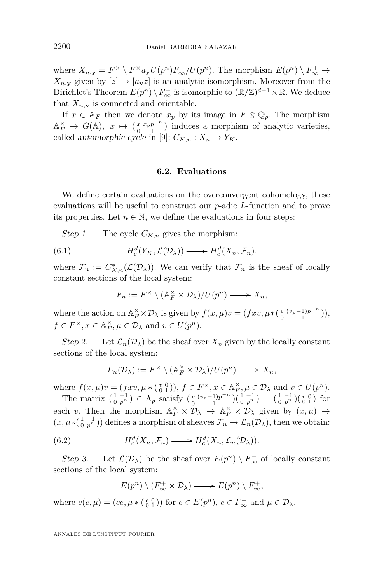where  $X_{n,\mathbf{y}} = F^{\times} \setminus F^{\times} a_{\mathbf{y}} U(p^n) F^+_{\infty}/U(p^n)$ . The morphism  $E(p^n) \setminus F^+_{\infty} \to$  $X_{n,y}$  given by  $[z] \rightarrow [a_{y}z]$  is an analytic isomorphism. Moreover from the Dirichlet's Theorem  $E(p^n) \setminus F^+_{\infty}$  is isomorphic to  $(\mathbb{R}/\mathbb{Z})^{d-1} \times \mathbb{R}$ . We deduce that  $X_{n,y}$  is connected and orientable.

If  $x \in A_F$  then we denote  $x_p$  by its image in  $F \otimes \mathbb{Q}_p$ . The morphism  $\mathbb{A}_F^{\times} \to G(\mathbb{A}), \quad x \mapsto (\begin{smallmatrix} x & x_p p^{-n} \\ 0 & 1 \end{smallmatrix})$  $\left( \begin{array}{cc} x & x_{p}p^{-n} \\ 0 & 1 \end{array} \right)$  induces a morphism of analytic varieties, called automorphic cycle in [\[9\]](#page-37-8):  $C_{K,n}: X_n \to Y_K$ .

# **6.2. Evaluations**

<span id="page-24-0"></span>We define certain evaluations on the overconvergent cohomology, these evaluations will be useful to construct our *p*-adic *L*-function and to prove its properties. Let  $n \in \mathbb{N}$ , we define the evaluations in four steps:

Step 1. — The cycle  $C_{K,n}$  gives the morphism:

(6.1) 
$$
H_c^d(Y_K, \mathcal{L}(\mathcal{D}_\lambda)) \longrightarrow H_c^d(X_n, \mathcal{F}_n).
$$

where  $\mathcal{F}_n := C^*_{K,n}(\mathcal{L}(\mathcal{D}_\lambda))$ . We can verify that  $\mathcal{F}_n$  is the sheaf of locally constant sections of the local system:

<span id="page-24-1"></span>
$$
F_n := F^\times \setminus (\mathbb{A}_F^\times \times \mathcal{D}_\lambda) / U(p^n) \longrightarrow X_n,
$$

where the action on  $\mathbb{A}_F^{\times} \times \mathcal{D}_{\lambda}$  is given by  $f(x,\mu)v = (fxv, \mu * \left(\begin{array}{cc} v & (v_p-1)p^{-n} \\ 0 & 1 \end{array}\right))$  $\binom{v}{0} \binom{(v_p-1)p^{-n}}{1},$  $f \in F^{\times}, x \in \mathbb{A}_F^{\times}, \mu \in \mathcal{D}_{\lambda}$  and  $v \in U(p^n)$ .

Step 2. — Let  $\mathcal{L}_n(\mathcal{D}_\lambda)$  be the sheaf over  $X_n$  given by the locally constant sections of the local system:

$$
L_n(\mathcal{D}_\lambda) := F^\times \setminus (\mathbb{A}_F^\times \times \mathcal{D}_\lambda) / U(p^n) \longrightarrow X_n,
$$

where  $f(x, \mu)v = (fxv, \mu * (\begin{smallmatrix} v & 0 \\ 0 & 1 \end{smallmatrix})), f \in F^{\times}, x \in \mathbb{A}_F^{\times}, \mu \in \mathcal{D}_{\lambda}$  and  $v \in U(p^n)$ . *F*

The matrix  $\begin{pmatrix} 1 & -1 \\ 0 & p^n \end{pmatrix} \in \Lambda_p$  satisfy  $\begin{pmatrix} v & (v_p - 1)p^{-n} \\ 0 & 1 \end{pmatrix}$  $\binom{v}{0} \binom{v}{1} \binom{1}{0} \binom{1}{p} \binom{1}{p} \binom{1}{0} \binom{1}{p} \binom{1}{0} \binom{1}{1}$  for each *v*. Then the morphism  $\mathbb{A}_F^{\times} \times \mathcal{D}_\lambda \to \mathbb{A}_F^{\times} \times \mathcal{D}_\lambda$  given by  $(x,\mu) \to$  $(x, \mu * \begin{pmatrix} 1 & -1 \\ 0 & p^n \end{pmatrix})$  defines a morphism of sheaves  $\mathcal{F}_n \to \mathcal{L}_n(\mathcal{D}_\lambda)$ , then we obtain:

(6.2) 
$$
H_c^d(X_n, \mathcal{F}_n) \longrightarrow H_c^d(X_n, \mathcal{L}_n(\mathcal{D}_\lambda)).
$$

Step 3. — Let  $\mathcal{L}(\mathcal{D}_\lambda)$  be the sheaf over  $E(p^n) \setminus F_\infty^+$  of locally constant sections of the local system:

<span id="page-24-2"></span>
$$
E(p^n)\setminus (F_\infty^+\times \mathcal{D}_\lambda)\longrightarrow E(p^n)\setminus F_\infty^+,
$$

where  $e(c, \mu) = (ce, \mu * (\begin{smallmatrix} e & 0 \\ 0 & 1 \end{smallmatrix}))$  for  $e \in E(p^n)$ ,  $c \in F^+_{\infty}$  and  $\mu \in \mathcal{D}_{\lambda}$ .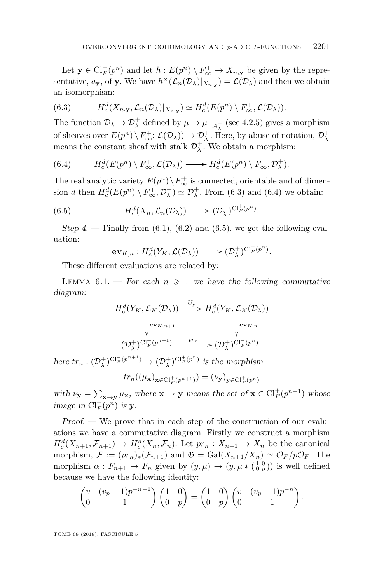Let  $\mathbf{y} \in \mathrm{Cl}_F^+(p^n)$  and let  $h: E(p^n) \setminus F_\infty^+ \to X_{n,\mathbf{y}}$  be given by the representative,  $a_{\mathbf{y}}$ , of **y**. We have  $h^{\times}(\mathcal{L}_n(\mathcal{D}_\lambda)|_{X_{n,\mathbf{y}}}) = \mathcal{L}(\mathcal{D}_\lambda)$  and then we obtain an isomorphism:

<span id="page-25-0"></span>(6.3) 
$$
H_c^d(X_{n,\mathbf{y}}, \mathcal{L}_n(\mathcal{D}_\lambda)|_{X_{n,\mathbf{y}}}) \simeq H_c^d(E(p^n) \setminus F_\infty^+, \mathcal{L}(\mathcal{D}_\lambda)).
$$

The function  $\mathcal{D}_{\lambda} \to \mathcal{D}_{\lambda}^{+}$  defined by  $\mu \to \mu \mid_{\mathcal{A}_{\lambda}^{+}}$  (see [4.2.5\)](#page-18-2) gives a morphism of sheaves over  $E(p^n) \setminus F^+_{\infty}: \mathcal{L}(\mathcal{D}_\lambda)) \to \mathcal{D}^+_{\lambda}$ . Here, by abuse of notation,  $\mathcal{D}^+_{\lambda}$ means the constant sheaf with stalk  $\mathcal{D}^+_\lambda$ . We obtain a morphism:

<span id="page-25-1"></span>(6.4) 
$$
H_c^d(E(p^n) \setminus F_\infty^+, \mathcal{L}(\mathcal{D}_\lambda)) \longrightarrow H_c^d(E(p^n) \setminus F_\infty^+, \mathcal{D}_\lambda^+).
$$

The real analytic variety  $E(p^n) \setminus F^+_{\infty}$  is connected, orientable and of dimension *d* then  $H_c^d(E(p^n) \setminus F_\infty^+, \mathcal{D}_\lambda^+) \simeq \mathcal{D}_\lambda^+$ . From [\(6.3\)](#page-25-0) and [\(6.4\)](#page-25-1) we obtain:

(6.5) 
$$
H_c^d(X_n, \mathcal{L}_n(\mathcal{D}_\lambda)) \longrightarrow (\mathcal{D}_\lambda^+)^{\mathrm{Cl}_F^+(p^n)}.
$$

Step 4. — Finally from  $(6.1)$ ,  $(6.2)$  and  $(6.5)$ . we get the following evaluation:

<span id="page-25-2"></span> $\mathbf{ev}_{K,n}: H_c^d(Y_K, \mathcal{L}(\mathcal{D}_\lambda)) \longrightarrow (\mathcal{D}_\lambda^+)^{\text{Cl}_F^+(p^n)}.$ 

These different evaluations are related by:

<span id="page-25-3"></span>LEMMA  $6.1$ . — For each  $n \geq 1$  we have the following commutative diagram:

$$
H_c^d(Y_K, \mathcal{L}_K(\mathcal{D}_\lambda)) \xrightarrow{U_p} H_c^d(Y_K, \mathcal{L}_K(\mathcal{D}_\lambda))
$$
  
\n
$$
\downarrow \mathbf{ev}_{K,n+1} \qquad \qquad \downarrow \mathbf{ev}_{K,n}
$$
  
\n
$$
(\mathcal{D}_\lambda^+)^{\text{Cl}_F^+(p^{n+1})} \xrightarrow{tr_n} (\mathcal{D}_\lambda^+)^{\text{Cl}_F^+(p^n)}
$$

here  $tr_n : (\mathcal{D}_{\lambda}^+)^{\mathrm{Cl}_F^+(p^{n+1})} \to (\mathcal{D}_{\lambda}^+)^{\mathrm{Cl}_F^+(p^n)}$  is the morphism  $tr_n((\mu_{\mathbf{x}})_{\mathbf{x}\in\mathrm{Cl}_F^+(p^{n+1})}) = (\nu_{\mathbf{y}})_{\mathbf{y}\in\mathrm{Cl}_F^+(p^n)}$ 

with  $\nu_y = \sum_{\mathbf{x} \to y} \mu_{\mathbf{x}}$ , where  $\mathbf{x} \to \mathbf{y}$  means the set of  $\mathbf{x} \in \mathrm{Cl}_F^+(p^{n+1})$  whose image in  $\mathrm{Cl}_F^+(p^n)$  is **y**.

Proof. — We prove that in each step of the construction of our evaluations we have a commutative diagram. Firstly we construct a morphism  $H_c^d(X_{n+1}, \mathcal{F}_{n+1}) \to H_c^d(X_n, \mathcal{F}_n)$ . Let  $pr_n: X_{n+1} \to X_n$  be the canonical morphism,  $\mathcal{F} := (pr_n)_*(\mathcal{F}_{n+1})$  and  $\mathfrak{G} = \text{Gal}(X_{n+1}/X_n) \simeq \mathcal{O}_F/p\mathcal{O}_F$ . The morphism  $\alpha: F_{n+1} \to F_n$  given by  $(y,\mu) \to (y,\mu * (\begin{smallmatrix} 1 & 0 \\ 0 & p \end{smallmatrix}))$  is well defined because we have the following identity:

$$
\begin{pmatrix} v & (v_p - 1)p^{-n-1} \\ 0 & 1 \end{pmatrix} \begin{pmatrix} 1 & 0 \\ 0 & p \end{pmatrix} = \begin{pmatrix} 1 & 0 \\ 0 & p \end{pmatrix} \begin{pmatrix} v & (v_p - 1)p^{-n} \\ 0 & 1 \end{pmatrix}.
$$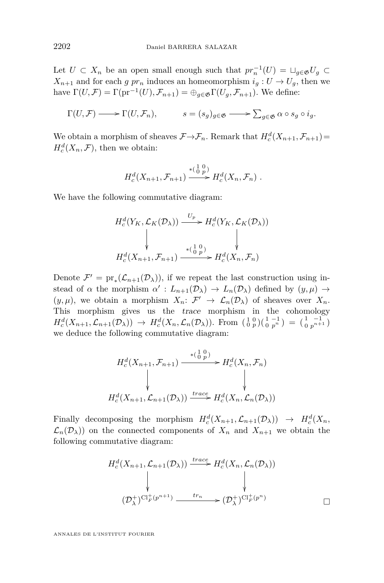Let  $U \subset X_n$  be an open small enough such that  $pr_n^{-1}(U) = \sqcup_{g \in \mathfrak{G}} U_g \subset$  $X_{n+1}$  and for each *g pr<sub>n</sub>* induces an homeomorphism  $i_q: U \to U_q$ , then we have  $\Gamma(U,\mathcal{F}) = \Gamma(\text{pr}^{-1}(U), \mathcal{F}_{n+1}) = \bigoplus_{g \in \mathfrak{G}} \Gamma(U_g, \mathcal{F}_{n+1})$ . We define:

$$
\Gamma(U,\mathcal{F}) \longrightarrow \Gamma(U,\mathcal{F}_n), \qquad s = (s_g)_{g \in \mathfrak{G}} \longrightarrow \sum_{g \in \mathfrak{G}} \alpha \circ s_g \circ i_g.
$$

We obtain a morphism of sheaves  $\mathcal{F} \rightarrow \mathcal{F}_n$ . Remark that  $H_c^d(X_{n+1}, \mathcal{F}_{n+1}) =$  $H_c^d(X_n, \mathcal{F})$ , then we obtain:

$$
H_c^d(X_{n+1}, \mathcal{F}_{n+1}) \xrightarrow{\ast(\begin{smallmatrix} 1 & 0 \\ 0 & p \end{smallmatrix})} H_c^d(X_n, \mathcal{F}_n) .
$$

We have the following commutative diagram:

$$
H_c^d(Y_K, \mathcal{L}_K(\mathcal{D}_\lambda)) \xrightarrow{U_p} H_c^d(Y_K, \mathcal{L}_K(\mathcal{D}_\lambda))
$$
  
\n
$$
\downarrow \qquad \qquad \downarrow
$$
  
\n
$$
H_c^d(X_{n+1}, \mathcal{F}_{n+1}) \xrightarrow{*(\begin{smallmatrix} 1 & 0 \\ 0 & p \end{smallmatrix})} H_c^d(X_n, \mathcal{F}_n)
$$

Denote  $\mathcal{F}' = \mathrm{pr}_*(\mathcal{L}_{n+1}(\mathcal{D}_\lambda))$ , if we repeat the last construction using instead of *α* the morphism  $\alpha': L_{n+1}(\mathcal{D}_\lambda) \to L_n(\mathcal{D}_\lambda)$  defined by  $(y, \mu) \to$  $(y, \mu)$ , we obtain a morphism  $X_n: \mathcal{F}' \to \mathcal{L}_n(\mathcal{D}_\lambda)$  of sheaves over  $X_n$ . This morphism gives us the trace morphism in the cohomology  $H_c^d(X_{n+1}, \mathcal{L}_{n+1}(\mathcal{D}_\lambda)) \to H_c^d(X_n, \mathcal{L}_n(\mathcal{D}_\lambda)).$  From  $\left(\begin{smallmatrix} 1 & 0 \\ 0 & p \end{smallmatrix}\right) \left(\begin{smallmatrix} 1 & -1 \\ 0 & p^n \end{smallmatrix}\right) = \left(\begin{smallmatrix} 1 & -1 \\ 0 & p^{n+1} \end{smallmatrix}\right)$ we deduce the following commutative diagram:

$$
H_c^d(X_{n+1}, \mathcal{F}_{n+1}) \xrightarrow{\ast(\begin{smallmatrix} 1 & 0 \\ 0 & p \end{smallmatrix})} H_c^d(X_n, \mathcal{F}_n)
$$
\n
$$
\downarrow \qquad \qquad \downarrow
$$
\n
$$
H_c^d(X_{n+1}, \mathcal{L}_{n+1}(\mathcal{D}_\lambda)) \xrightarrow{trace} H_c^d(X_n, \mathcal{L}_n(\mathcal{D}_\lambda))
$$

Finally decomposing the morphism  $H_c^d(X_{n+1}, \mathcal{L}_{n+1}(\mathcal{D}_\lambda)) \to H_c^d(X_n,$  $\mathcal{L}_n(\mathcal{D}_\lambda)$  on the connected components of  $X_n$  and  $X_{n+1}$  we obtain the following commutative diagram:

$$
H_c^d(X_{n+1}, \mathcal{L}_{n+1}(\mathcal{D}_\lambda)) \xrightarrow{trace} H_c^d(X_n, \mathcal{L}_n(\mathcal{D}_\lambda))
$$
  

$$
\downarrow \qquad \qquad \downarrow
$$
  

$$
(\mathcal{D}_\lambda^+)^{\text{Cl}_F^+(p^{n+1})} \xrightarrow{tr_n} (\mathcal{D}_\lambda^+)^{\text{Cl}_F^+(p^n)}
$$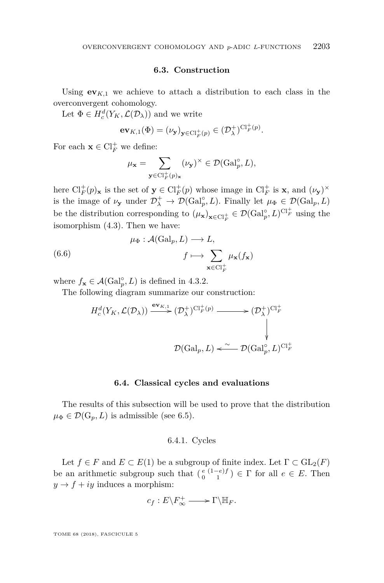# **6.3. Construction**

<span id="page-27-0"></span>Using  $\mathbf{ev}_{K,1}$  we achieve to attach a distribution to each class in the overconvergent cohomology.

Let  $\Phi \in H_c^d(Y_K, \mathcal{L}(\mathcal{D}_\lambda))$  and we write

$$
\mathbf{ev}_{K,1}(\Phi) = (\nu_\mathbf{y})_{\mathbf{y} \in \mathrm{Cl}_F^+(p)} \in (\mathcal{D}_\lambda^+)^{\mathrm{Cl}_F^+(p)}.
$$

For each  $\mathbf{x} \in \mathrm{Cl}_F^+$  we define:

$$
\mu_{\mathbf{x}} = \sum_{\mathbf{y} \in \mathrm{Cl}_F^+(p)_{\mathbf{x}}} (\nu_{\mathbf{y}})^{\times} \in \mathcal{D}(\mathrm{Gal}_p^{\circ}, L),
$$

here  $\text{Cl}_F^+(p)$ **x** is the set of  $\mathbf{y} \in \text{Cl}_F^+(p)$  whose image in  $\text{Cl}_F^+$  is **x**, and  $(\nu_{\mathbf{y}})^{\times}$ is the image of  $\nu_y$  under  $\mathcal{D}^+_\lambda \to \mathcal{D}(\text{Gal}_p^{\circ}, L)$ . Finally let  $\mu_{\Phi} \in \mathcal{D}(\text{Gal}_p, L)$ be the distribution corresponding to  $(\mu_{\mathbf{x}})_{\mathbf{x} \in \mathrm{Cl}_F^+} \in \mathcal{D}(\mathrm{Gal}_p^{\circ}, L)^{\mathrm{Cl}_F^+}$  using the isomorphism [\(4.3\)](#page-19-1). Then we have:

(6.6) 
$$
\mu_{\Phi}: \mathcal{A}(\text{Gal}_p, L) \longrightarrow L, \nf \longmapsto \sum_{\mathbf{x} \in \text{Cl}_F^+} \mu_{\mathbf{x}}(f_{\mathbf{x}})
$$

where  $f_{\mathbf{x}} \in \mathcal{A}(\text{Gal}_{p}^{\circ}, L)$  is defined in [4.3.2.](#page-19-2)

The following diagram summarize our construction:

$$
H_c^d(Y_K, \mathcal{L}(\mathcal{D}_\lambda)) \xrightarrow{\mathbf{ev}_{K,1}} (\mathcal{D}_\lambda^+)^{\text{Cl}_F^+(p)} \longrightarrow (\mathcal{D}_\lambda^+)^{\text{Cl}_F^+}
$$
  

$$
\downarrow
$$
  

$$
\mathcal{D}(\text{Gal}_p, L) \xleftarrow{\sim} \mathcal{D}(\text{Gal}_p^{\circ}, L)^{\text{Cl}_F^+}
$$

# **6.4. Classical cycles and evaluations**

The results of this subsection will be used to prove that the distribution  $\mu_{\Phi} \in \mathcal{D}(\mathbb{G}_p, L)$  is admissible (see [6.5\)](#page-32-1).

# 6.4.1. Cycles

Let  $f \in F$  and  $E \subset E(1)$  be a subgroup of finite index. Let  $\Gamma \subset GL_2(F)$ be an arithmetic subgroup such that  $\binom{e}{0} \binom{1-e}{1} \in \Gamma$  for all  $e \in E$ . Then  $y \rightarrow f + iy$  induces a morphism:

$$
c_f: E\backslash F_\infty^+ \longrightarrow \Gamma\backslash \mathbb{H}_F.
$$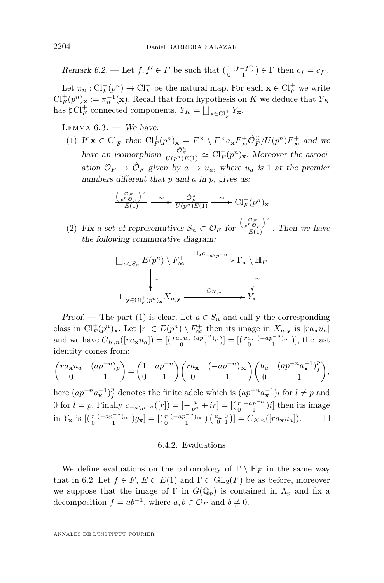Remark 6.2. — Let  $f, f' \in F$  be such that  $\begin{pmatrix} 1 & (f - f') \\ 0 & 1 \end{pmatrix} \in \Gamma$  then  $c_f = c_{f'}$ .

Let  $\pi_n : \mathrm{Cl}_F^+(p^n) \to \mathrm{Cl}_F^+$  be the natural map. For each  $\mathbf{x} \in \mathrm{Cl}_F^+$  we write  $\mathrm{Cl}_F^+(p^n)_{\mathbf{x}} := \pi_n^{-1}(\mathbf{x})$ . Recall that from hypothesis on *K* we deduce that  $Y_K$ has  $\sharp$  Cl<sup>+</sup><sub>*F*</sub> connected components,  $Y_K = \bigsqcup_{\mathbf{x} \in \text{Cl}_F^+} Y_{\mathbf{x}}$ .

<span id="page-28-2"></span><span id="page-28-0"></span>LEMMA  $6.3.$  - We have:

(1) If  $\mathbf{x} \in \mathrm{Cl}_F^+$  then  $\mathrm{Cl}_F^+(p^n)_{\mathbf{x}} = F^\times \setminus F^\times a_{\mathbf{x}} F_\infty^+ \mathcal{O}_F^\times / U(p^n) F_\infty^+$  and we have an isomorphism  $\frac{\hat{O}_F^{\times}}{U(p^n)E(1)} \simeq \mathrm{Cl}_F^+(p^n)_{\mathbf{x}}$ . Moreover the association  $\mathcal{O}_F \to \hat{\mathcal{O}}_F$  given by  $a \to u_a$ , where  $u_a$  is 1 at the premier numbers different that *p* and *a* in *p*, gives us:

$$
\frac{\left(\frac{\mathcal{O}_F}{p^n \mathcal{O}_F}\right)^{\times}}{E(1)} \xrightarrow{\sim} \frac{\hat{\mathcal{O}}_F^{\times}}{U(p^n)E(1)} \xrightarrow{\sim} \mathrm{Cl}_F^+(p^n)_{\mathbf{x}}
$$

(2) Fix a set of representatives  $S_n \subset \mathcal{O}_F$  for  $\frac{\left(\frac{\mathcal{O}_F}{p^o C_F}\right)^{\times}}{E(1)}$  $\frac{F(\mathcal{O}_F)}{E(1)}$ . Then we have the following commutative diagram:

$$
\bigcup_{a \in S_n} E(p^n) \setminus F_{\infty}^+ \xrightarrow{\bigcup_{a \in C_{-a \setminus p^{-n}}} \Gamma_{\mathbf{x}} \setminus \mathbb{H}_F}
$$
\n
$$
\downarrow \sim \qquad \qquad \downarrow \sim
$$
\n
$$
\bigcup_{\mathbf{y} \in \mathrm{Cl}_F^+(p^n)_{\mathbf{x}}} X_{n, \mathbf{y}} \xrightarrow{C_{K, n}} Y_{\mathbf{x}}
$$

Proof. — The part [\(1\)](#page-28-0) is clear. Let  $a \in S_n$  and call y the corresponding class in  $Cl_F^+(p^n)_{\mathbf{x}}$ . Let  $[r] \in E(p^n) \setminus F^+_{\infty}$  then its image in  $X_{n,\mathbf{y}}$  is  $[ra_{\mathbf{x}}u_a]$ and we have  $C_{K,n}([ra_{\mathbf{x}}u_a]) = [(\begin{array}{cc} ra_{\mathbf{x}}u_a & (ap^{-n})_p \\ 0 & 1 \end{array})] = [(\begin{array}{cc} ra_{\mathbf{x}} & (-ap^{-n})_{\infty} \\ 0 & 1 \end{array})],$  the last identity comes from:

$$
\begin{pmatrix} ra_{\mathbf{x}}u_a & (ap^{-n})_p \\ 0 & 1 \end{pmatrix} = \begin{pmatrix} 1 & ap^{-n} \\ 0 & 1 \end{pmatrix} \begin{pmatrix} ra_{\mathbf{x}} & (-ap^{-n})_\infty \\ 0 & 1 \end{pmatrix} \begin{pmatrix} u_a & (ap^{-n}a_{\mathbf{x}}^{-1})_f^p \\ 0 & 1 \end{pmatrix},
$$

here  $(ap^{-n}a_{\mathbf{x}}^{-1})_f^p$  denotes the finite adele which is  $(ap^{-n}a_{\mathbf{x}}^{-1})_l$  for  $l \neq p$  and 0 for  $l = p$ . Finally  $c_{-a\pmb{\downarrow} p^{-n}}([r]) = \left[ -\frac{a}{p^n} + ir \right] = \left[ \left( \frac{r}{0} - \frac{ap^{-n}}{1} \right) i \right]$  then its image  $\lim Y_{\mathbf{x}}$  is  $[(\begin{array}{c} r & (-ap^{-n})_{\infty} \\ 0 & 1 \end{array})g_{\mathbf{x}}] = [(\begin{array}{c} r & (-ap^{-n})_{\infty} \\ 0 & 1 \end{array}) (\begin{array}{c} a_{\mathbf{x}} & 0 \\ 0 & 1 \end{array})] = C_{K,n}([ra_{\mathbf{x}}u_a]).$ 

# 6.4.2. Evaluations

<span id="page-28-1"></span>We define evaluations on the cohomology of  $\Gamma \setminus \mathbb{H}_F$  in the same way that in [6.2.](#page-24-0) Let  $f \in F$ ,  $E \subset E(1)$  and  $\Gamma \subset GL_2(F)$  be as before, moreover we suppose that the image of  $\Gamma$  in  $G(\mathbb{Q}_p)$  is contained in  $\Lambda_p$  and fix a decomposition  $f = ab^{-1}$ , where  $a, b \in \mathcal{O}_F$  and  $b \neq 0$ .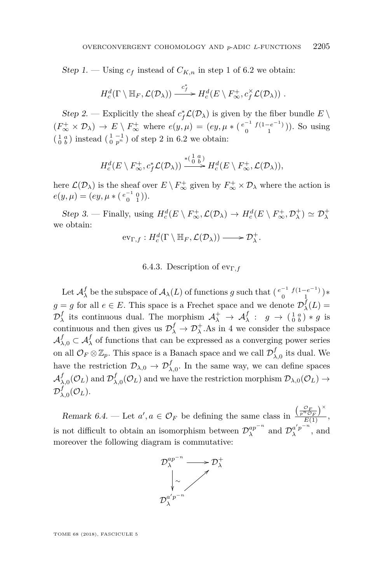Step 1. — Using  $c_f$  instead of  $C_{K,n}$  in step 1 of [6.2](#page-24-0) we obtain:

$$
H_c^d(\Gamma \setminus \mathbb{H}_F, \mathcal{L}(\mathcal{D}_\lambda)) \xrightarrow{c_f^*} H_c^d(E \setminus F_\infty^+, c_f^\times \mathcal{L}(\mathcal{D}_\lambda)) .
$$

Step 2. — Explicitly the sheaf  $c_f^* \mathcal{L}(\mathcal{D}_\lambda)$  is given by the fiber bundle  $E \setminus$  $(F^+_{\infty} \times \mathcal{D}_{\lambda}) \to E \setminus F^+_{\infty}$  where  $e(y, \mu) = (ey, \mu * (e^{-1} f(1-e^{-1}))$ . So using  $\begin{pmatrix} 1 & a \\ 0 & b \end{pmatrix}$  instead  $\begin{pmatrix} 1 & -1 \\ 0 & p^n \end{pmatrix}$  of step 2 in [6.2](#page-24-0) we obtain:

$$
H_c^d(E \setminus F_{\infty}^+, c_f^* \mathcal{L}(\mathcal{D}_\lambda)) \xrightarrow{\ast(\begin{smallmatrix} 1 & a \\ 0 & b \end{smallmatrix})} H_c^d(E \setminus F_{\infty}^+, \mathcal{L}(\mathcal{D}_\lambda)),
$$

here  $\mathcal{L}(\mathcal{D}_\lambda)$  is the sheaf over  $E \setminus F_\infty^+$  given by  $F_\infty^+ \times \mathcal{D}_\lambda$  where the action is  $e(y,\mu) = (ey, \mu * (\begin{smallmatrix} e^{-1} & 0 \\ 0 & 1 \end{smallmatrix})).$ 

Step 3. — Finally, using  $H_c^d(E \setminus F_\infty^+, \mathcal{L}(\mathcal{D}_\lambda) \to H_c^d(E \setminus F_\infty^+, \mathcal{D}_\lambda^+) \simeq \mathcal{D}_\lambda^+$ we obtain:

$$
\mathrm{ev}_{\Gamma,f}:H_c^d(\Gamma\setminus\mathbb{H}_F,\mathcal{L}(\mathcal{D}_\lambda))\longrightarrow\mathcal{D}^+_\lambda.
$$

# 6.4.3. Description of evΓ*,f*

<span id="page-29-0"></span>Let  $\mathcal{A}_{\lambda}^{f}$  be the subspace of  $\mathcal{A}_{\lambda}(L)$  of functions *g* such that  $\left(\begin{smallmatrix} e^{-1} & f(1-e^{-1}) \\ 0 & 1 \end{smallmatrix}\right)*$  $g = g$  for all  $e \in E$ . This space is a Frechet space and we denote  $\mathcal{D}^f_\lambda(L) =$  $\mathcal{D}_{\lambda}^{f}$  its continuous dual. The morphism  $\mathcal{A}_{\lambda}^{+} \to \mathcal{A}_{\lambda}^{f}$ :  $g \to (\frac{1}{0} \frac{a}{b}) * g$  is continuous and then gives us  $\mathcal{D}_{\lambda}^{f} \to \mathcal{D}_{\lambda}^{+}$ . As in [4](#page-15-0) we consider the subspace  $\mathcal{A}^f_{\lambda,0} \subset \mathcal{A}^f_{\lambda}$  of functions that can be expressed as a converging power series on all  $\mathcal{O}_F \otimes \mathbb{Z}_p$ . This space is a Banach space and we call  $\mathcal{D}^f_{\lambda,0}$  its dual. We have the restriction  $\mathcal{D}_{\lambda,0} \to \mathcal{D}_{\lambda,0}^f$ . In the same way, we can define spaces  $\mathcal{A}^f_{\lambda,0}(\mathcal{O}_L)$  and  $\mathcal{D}^f_{\lambda,0}(\mathcal{O}_L)$  and we have the restriction morphism  $\mathcal{D}_{\lambda,0}(\mathcal{O}_L) \to$  $\mathcal{D}^f_{\lambda,0}(\mathcal{O}_L).$ 

Remark 6.4. — Let  $a', a \in \mathcal{O}_F$  be defining the same class in  $\frac{\binom{\mathcal{O}_F}{\bar{F}^{\mathcal{P}} \mathcal{O}_F}}{F(1)}$  $\frac{E(E_F)}{E(1)},$ is not difficult to obtain an isomorphism between  $\mathcal{D}_{\lambda}^{ap^{-n}}$  and  $\mathcal{D}_{\lambda}^{a'p^{-n}}$  $\frac{a}{\lambda}$ <sup>*u*</sup>, and moreover the following diagram is commutative:

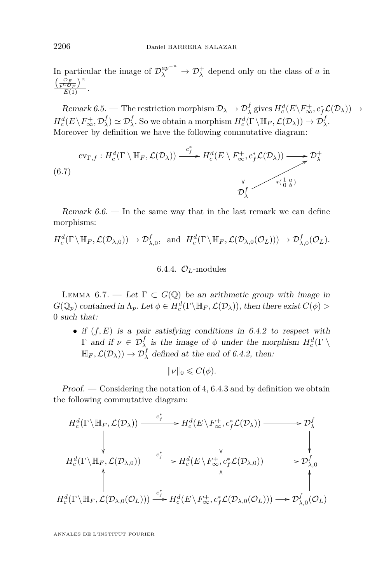In particular the image of  $\mathcal{D}_{\lambda}^{ap^{-n}} \to \mathcal{D}_{\lambda}^{+}$  depend only on the class of *a* in  $\left(\frac{\mathcal{O}_F}{p^n\mathcal{O}_F}\right)^\times$  $\frac{E_{\nu}^{n}C_{F}}{E(1)}$ .

 $\text{Remark } 6.5.$  — The restriction morphism  $\mathcal{D}_{\lambda} \to \mathcal{D}_{\lambda}^{f}$  gives  $H_c^d(E \backslash F_{\infty}^+, c_f^* \mathcal{L}(\mathcal{D}_{\lambda})) \to$  $H_c^d(E \setminus F_\infty^+, \mathcal{D}_\lambda^f) \simeq \mathcal{D}_\lambda^f$ . So we obtain a morphism  $H_c^d(\Gamma \setminus \mathbb{H}_F, \mathcal{L}(\mathcal{D}_\lambda)) \to \mathcal{D}_\lambda^f$ . Moreover by definition we have the following commutative diagram:

<span id="page-30-0"></span>
$$
\text{ev}_{\Gamma,f}: H_c^d(\Gamma \setminus \mathbb{H}_F, \mathcal{L}(\mathcal{D}_\lambda)) \xrightarrow{\phantom{a.s.} c_f^*} H_c^d(E \setminus F_\infty^+, c_f^* \mathcal{L}(\mathcal{D}_\lambda)) \xrightarrow{\phantom{a.s.} \rightarrow} \mathcal{D}_\lambda^+ \tag{6.7}
$$
\n
$$
\downarrow \qquad \qquad \downarrow
$$
\n
$$
\mathcal{D}_\lambda^f
$$

Remark 6.6. — In the same way that in the last remark we can define morphisms:

$$
H_c^d(\Gamma \setminus \mathbb{H}_F, \mathcal{L}(\mathcal{D}_{\lambda,0})) \to \mathcal{D}_{\lambda,0}^f
$$
, and  $H_c^d(\Gamma \setminus \mathbb{H}_F, \mathcal{L}(\mathcal{D}_{\lambda,0}(\mathcal{O}_L))) \to \mathcal{D}_{\lambda,0}^f(\mathcal{O}_L).$ 

# 6.4.4.  $\mathcal{O}_L$ -modules

<span id="page-30-1"></span>LEMMA 6.7. — Let  $\Gamma \subset G(\mathbb{Q})$  be an arithmetic group with image in  $G(\mathbb{Q}_p)$  contained in  $\Lambda_p$ . Let  $\phi \in H_c^d(\Gamma \backslash \mathbb{H}_F, \mathcal{L}(\mathcal{D}_\lambda))$ , then there exist  $C(\phi)$  > 0 such that:

• if  $(f, E)$  is a pair satisfying conditions in [6.4.2](#page-28-1) to respect with  $\Gamma$  and if  $\nu \in \mathcal{D}_{\lambda}^f$  is the image of  $\phi$  under the morphism  $H_c^d(\Gamma)$  $\mathbb{H}_F$ ,  $\mathcal{L}(\mathcal{D}_\lambda)$   $\to \mathcal{D}^f_\lambda$  defined at the end of [6.4.2,](#page-28-1) then:

$$
\|\nu\|_0 \leqslant C(\phi).
$$

 $Proof.$  — Considering the notation of [4,](#page-15-0) [6.4.3](#page-29-0) and by definition we obtain the following commutative diagram:

$$
H_c^d(\Gamma \setminus \mathbb{H}_F, \mathcal{L}(\mathcal{D}_\lambda)) \xrightarrow{\begin{array}{c} c_f^* \\ \downarrow \\ \downarrow \\ \downarrow \\ H_c^d(\Gamma \setminus \mathbb{H}_F, \mathcal{L}(\mathcal{D}_{\lambda,0})) \xrightarrow{\begin{array}{c} c_f^* \\ \downarrow \\ \downarrow \\ \downarrow \\ \downarrow \end{array}} H_c^d(E \setminus F_\infty^+, c_f^* \mathcal{L}(\mathcal{D}_{\lambda,0})) \xrightarrow{\begin{array}{c} c_f^* \\ \downarrow \\ \downarrow \\ \downarrow \end{array}} P_c^d(\Gamma \setminus \mathbb{H}_F, \mathcal{L}(\mathcal{D}_{\lambda,0})) \xrightarrow{\begin{array}{c} c_f^* \\ \downarrow \\ \downarrow \\ \downarrow \end{array}} H_c^d(E \setminus F_\infty^+, c_f^* \mathcal{L}(\mathcal{D}_{\lambda,0})) \xrightarrow{\begin{array}{c} c_f^* \\ \downarrow \\ \downarrow \end{array}} P_c^d(\Gamma \setminus \mathbb{H}_F, \mathcal{L}(\mathcal{D}_{\lambda,0}(\mathcal{O}_L))) \xrightarrow{\begin{array}{c} c_f^* \\ \downarrow \\ \downarrow \end{array}} H_c^d(E \setminus F_\infty^+, c_f^* \mathcal{L}(\mathcal{D}_{\lambda,0}(\mathcal{O}_L))) \xrightarrow{\begin{array}{c} c_f^* \\ \downarrow \\ \downarrow \end{array}} P_c^d(\mathcal{D}_{\lambda,0}(\mathcal{O}_L)) \xrightarrow{\begin{array}{c} c_f^* \\ \downarrow \\ \downarrow \end{array}} H_c^d(E \setminus F_\infty^+, c_f^* \mathcal{L}(\mathcal{D}_{\lambda,0}(\mathcal{O}_L))) \xrightarrow{\begin{array}{c} c_f^* \\ \downarrow \\ \downarrow \end{array}} P_c^d(\mathcal{D}_{\lambda,0}(\mathcal{O}_L)) \xrightarrow{\begin{array}{c} c_f^* \\ \downarrow \\ \downarrow \end{array}} H_c^d(E \setminus F_\infty^+, c_f^* \mathcal{L}(\mathcal{D}_{\lambda,0}(\mathcal{O}_L))) \xrightarrow{\begin{array}{c} c_f^* \\ \downarrow \\ \downarrow \end{array}} P_c^d(\mathcal{D}_{\lambda,0}(\mathcal{O}_L)) \xrightarrow{\begin{array}{c} c_f^* \\ \downarrow \\ \downarrow \end{array}} H_c^d(E \setminus F
$$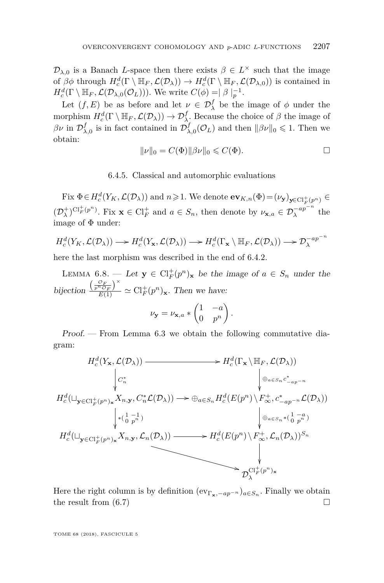$\mathcal{D}_{\lambda,0}$  is a Banach *L*-space then there exists  $\beta \in L^{\times}$  such that the image of  $\beta\phi$  through  $H_c^d(\Gamma \setminus \mathbb{H}_F, \mathcal{L}(\mathcal{D}_\lambda)) \to H_c^d(\Gamma \setminus \mathbb{H}_F, \mathcal{L}(\mathcal{D}_{\lambda,0}))$  is contained in  $H_c^d(\Gamma \setminus \mathbb{H}_F, \mathcal{L}(\mathcal{D}_{\lambda,0}(\mathcal{O}_L)))$ . We write  $C(\phi) = |\beta|_p^{-1}$ .

Let  $(f, E)$  be as before and let  $\nu \in \mathcal{D}_{\lambda}^f$  be the image of  $\phi$  under the morphism  $H_c^d(\Gamma \setminus \mathbb{H}_F, \mathcal{L}(\mathcal{D}_\lambda)) \to \mathcal{D}_{\lambda}^f$ . Because the choice of  $\beta$  the image of *βν* in  $\mathcal{D}^f_{\lambda,0}$  is in fact contained in  $\mathcal{D}^f_{\lambda,0}(\mathcal{O}_L)$  and then  $\|\beta v\|_0 \leq 1$ . Then we obtain:

$$
||\nu||_0 = C(\Phi)||\beta\nu||_0 \leqslant C(\Phi).
$$

6.4.5. Classical and automorphic evaluations

Fix  $\Phi \in H_c^d(Y_K, \mathcal{L}(\mathcal{D}_\lambda))$  and  $n \geqslant 1$ . We denote  $ev_{K,n}(\Phi) = (\nu_{\mathbf{y}})_{\mathbf{y} \in \mathrm{Cl}_F^+(p^n)} \in$  $(\mathcal{D}_{\lambda}^{\dagger})^{\text{Cl}_{F}^{+}(p^{n})}$ . Fix  $\mathbf{x} \in \text{Cl}_{F}^{+}$  and  $a \in S_{n}$ , then denote by  $\nu_{\mathbf{x},a} \in \mathcal{D}_{\lambda}^{-ap^{-n}}$  the image of  $\Phi$  under:

$$
H_c^d(Y_K, \mathcal{L}(\mathcal{D}_\lambda)) \longrightarrow H_c^d(Y_{\mathbf{x}}, \mathcal{L}(\mathcal{D}_\lambda)) \longrightarrow H_c^d(\Gamma_{\mathbf{x}} \setminus \mathbb{H}_F, \mathcal{L}(\mathcal{D}_\lambda)) \longrightarrow \mathcal{D}_\lambda^{-ap^{-n}}
$$

here the last morphism was described in the end of [6.4.2.](#page-28-1)

<span id="page-31-0"></span>LEMMA 6.8. — Let  $\mathbf{y} \in \mathrm{Cl}_F^+(p^n)_{\mathbf{x}}$  be the image of  $a \in S_n$  under the bijection  $\frac{\left(\frac{\mathcal{O}_F}{p^n \mathcal{O}_F}\right)^{\times}}{E(1)} \simeq \mathrm{Cl}_F^+(p^n)_{\mathbf{x}}$ . Then we have:

$$
\nu_{\mathbf{y}} = \nu_{\mathbf{x},a} * \begin{pmatrix} 1 & -a \\ 0 & p^n \end{pmatrix}.
$$

Proof. — From Lemma [6.3](#page-28-2) we obtain the following commutative diagram:

$$
H_c^d(Y_x, \mathcal{L}(\mathcal{D}_\lambda)) \longrightarrow H_c^d(\Gamma_x \setminus \mathbb{H}_F, \mathcal{L}(\mathcal{D}_\lambda))
$$
\n
$$
\downarrow C_n^*
$$
\n
$$
H_c^d(\sqcup_{\mathbf{y} \in \mathrm{Cl}_F^+(p^n)_\mathbf{x}} X_{n, \mathbf{y}}, C_n^* \mathcal{L}(\mathcal{D}_\lambda)) \longrightarrow \oplus_{a \in S_n} H_c^d(E(p^n) \setminus F_\infty^+, c_{-ap^{-n}}^* \mathcal{L}(\mathcal{D}_\lambda))
$$
\n
$$
\downarrow \qquad \qquad + (\frac{1}{0} \frac{-1}{p^n}) \qquad \qquad \downarrow \oplus_{a \in S_n} \left( \frac{1}{0} \frac{-a}{p^n} \right)
$$
\n
$$
H_c^d(\sqcup_{\mathbf{y} \in \mathrm{Cl}_F^+(p^n)_\mathbf{x}} X_{n, \mathbf{y}}, \mathcal{L}_n(\mathcal{D}_\lambda)) \longrightarrow H_c^d(E(p^n) \setminus F_\infty^+, \mathcal{L}_n(\mathcal{D}_\lambda))^{S_n}
$$
\n
$$
\downarrow \qquad \qquad \downarrow \qquad \qquad \downarrow \qquad \qquad \downarrow \qquad \qquad \downarrow \qquad \qquad \downarrow \qquad \qquad \downarrow \qquad \qquad \downarrow \qquad \qquad \downarrow \qquad \qquad \downarrow \qquad \qquad \downarrow \qquad \qquad \downarrow \qquad \qquad \downarrow \qquad \qquad \downarrow \qquad \qquad \downarrow \qquad \qquad \downarrow \qquad \qquad \downarrow \qquad \qquad \downarrow \qquad \qquad \downarrow \qquad \qquad \downarrow \qquad \qquad \downarrow \qquad \qquad \downarrow \qquad \qquad \downarrow \qquad \qquad \downarrow \qquad \qquad \downarrow \qquad \qquad \downarrow \qquad \qquad \downarrow \qquad \qquad \downarrow \qquad \qquad \downarrow \qquad \qquad \downarrow \qquad \qquad \downarrow \qquad \qquad \downarrow \qquad \qquad \downarrow \qquad \qquad \downarrow \qquad \qquad \downarrow \qquad \qquad \downarrow \qquad \downarrow \qquad \qquad \downarrow \qquad \downarrow \qquad \downarrow \qquad \qquad \downarrow \qquad \downarrow \qquad \qquad \downarrow \qquad \downarrow
$$

Here the right column is by definition  $(\mathrm{ev}_{\Gamma_{\mathbf{x}}, -ap^{-n}})_{a \in S_n}$ . Finally we obtain the result from  $(6.7)$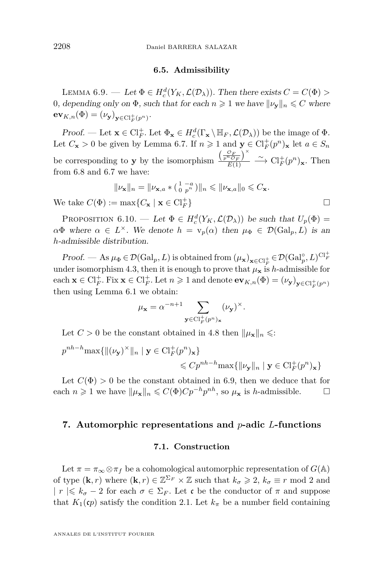# **6.5. Admissibility**

<span id="page-32-2"></span><span id="page-32-1"></span>LEMMA 6.9. — Let  $\Phi \in H_c^d(Y_K, \mathcal{L}(\mathcal{D}_\lambda))$ . Then there exists  $C = C(\Phi) >$ 0, depending only on  $\Phi$ , such that for each  $n \geq 1$  we have  $\|\nu_{\mathbf{v}}\|_n \leq C$  where  $\mathbf{ev}_{K,n}(\Phi) = (\nu_{\mathbf{y}})_{\mathbf{y} \in \mathrm{Cl}_F^+(p^n)}$ .

Proof. — Let  $\mathbf{x} \in \mathrm{Cl}_F^+$ . Let  $\Phi_{\mathbf{x}} \in H_c^d(\Gamma_{\mathbf{x}} \setminus \mathbb{H}_F, \mathcal{L}(\mathcal{D}_\lambda))$  be the image of  $\Phi$ . Let  $C_{\mathbf{x}} > 0$  be given by Lemma [6.7.](#page-30-1) If  $n \geq 1$  and  $\mathbf{y} \in \mathrm{Cl}_F^+(p^n)_{\mathbf{x}}$  let  $a \in S_n$ be corresponding to **y** by the isomorphism  $\frac{\left(\frac{\mathcal{O}_F}{p^m C_F}\right)^{\times}}{E(1)}$  $\frac{\overline{n_{\mathcal{O}_F}}}{E(1)} \longrightarrow \mathrm{Cl}_{F}^{+}(p^n)_{\mathbf{x}}$ . Then from [6.8](#page-31-0) and [6.7](#page-30-1) we have:

$$
\|\nu_{\mathbf{x}}\|_{n} = \|\nu_{\mathbf{x},a} * \left(\begin{smallmatrix} 1 & -a \\ 0 & p^{n} \end{smallmatrix}\right)\|_{n} \le \|\nu_{\mathbf{x},a}\|_{0} \le C_{\mathbf{x}}.
$$

We take  $C(\Phi) := \max\{C_{\mathbf{x}} \mid \mathbf{x} \in \mathrm{Cl}_F^+$ 

<span id="page-32-4"></span>PROPOSITION 6.10. — Let  $\Phi \in H_c^d(Y_K, \mathcal{L}(\mathcal{D}_\lambda))$  be such that  $U_p(\Phi) =$  $\alpha \Phi$  where  $\alpha \in L^{\times}$ . We denote  $h = v_p(\alpha)$  then  $\mu_{\Phi} \in \mathcal{D}(\text{Gal}_p, L)$  is an *h*-admissible distribution.

 $Proof. - \text{As } \mu_{\Phi} \in \mathcal{D}(\text{Gal}_p, L) \text{ is obtained from } (\mu_{\mathbf{x}})_{\mathbf{x} \in \text{Cl}_F^+} \in \mathcal{D}(\text{Gal}_p^{\circ}, L)^{\text{Cl}_F^+}$ under isomorphism [4.3,](#page-19-1) then it is enough to prove that  $\mu_{\mathbf{x}}$  is *h*-admissible for  $\text{each } \mathbf{x} \in \text{Cl}_F^+$ . Fix  $\mathbf{x} \in \text{Cl}_F^+$ . Let  $n \geqslant 1$  and denote  $\mathbf{ev}_{K,n}(\Phi) = (\nu_\mathbf{y})_{\mathbf{y} \in \text{Cl}_F^+(p^n)}$ then using Lemma [6.1](#page-25-3) we obtain:

$$
\mu_{\mathbf{x}} = \alpha^{-n+1} \sum_{\mathbf{y} \in \text{Cl}_{F}^{+}(p^{n})_{\mathbf{x}}} (\nu_{\mathbf{y}})^{\times}.
$$

Let  $C > 0$  be the constant obtained in [4.8](#page-20-1) then  $\|\mu_{\mathbf{x}}\|_n \leq \epsilon$ .

$$
p^{nh-h} \max\{\|(\nu_{\mathbf{y}})^{\times}\|_{n} \mid \mathbf{y} \in \mathrm{Cl}_F^+(p^n)_{\mathbf{x}}\}
$$
  
\$\leqslant C p^{nh-h} \max\{\|\nu\_{\mathbf{y}}\|\_{n} \mid \mathbf{y} \in \mathrm{Cl}\_F^+(p^n)\_{\mathbf{x}}\}\$

Let  $C(\Phi) > 0$  be the constant obtained in [6.9,](#page-32-2) then we deduce that for each  $n \geq 1$  we have  $\|\mu_{\mathbf{x}}\|_n \leq C(\Phi)Cp^{-h}p^{nh}$ , so  $\mu_{\mathbf{x}}$  is *h*-admissible.  $\square$ 

# <span id="page-32-3"></span><span id="page-32-0"></span>**7. Automorphic representations and** *p***-adic** *L***-functions**

#### **7.1. Construction**

Let  $\pi = \pi_{\infty} \otimes \pi_f$  be a cohomological automorphic representation of  $G(\mathbb{A})$ of type  $(\mathbf{k}, r)$  where  $(\mathbf{k}, r) \in \mathbb{Z}^{\Sigma_F} \times \mathbb{Z}$  such that  $k_{\sigma} \geq 2$ ,  $k_{\sigma} \equiv r \mod 2$  and  $|r \leq k_{\sigma} - 2$  for each  $\sigma \in \Sigma_F$ . Let c be the conductor of  $\pi$  and suppose that  $K_1$ (*cp*) satisfy the condition [2.1.](#page-6-0) Let  $k_\pi$  be a number field containing

$$
\}
$$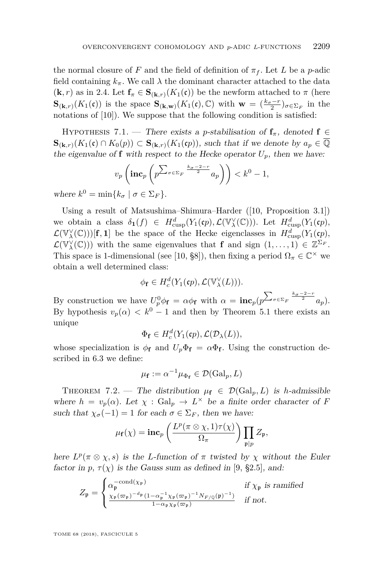the normal closure of *F* and the field of definition of  $\pi_f$ . Let *L* be a *p*-adic field containing  $k_{\pi}$ . We call  $\lambda$  the dominant character attached to the data  $(\mathbf{k}, r)$  as in [2.4.](#page-8-1) Let  $\mathbf{f}_{\pi} \in \mathbf{S}_{(\mathbf{k},r)}(K_1(\mathfrak{c}))$  be the newform attached to  $\pi$  (here  $\mathbf{S}_{(\mathbf{k},r)}(K_1(\mathfrak{c}))$  is the space  $\mathbf{S}_{(\mathbf{k},\mathbf{w})}(K_1(\mathfrak{c}),\mathbb{C})$  with  $\mathbf{w} = (\frac{k_\sigma - r}{2})_{\sigma \in \Sigma_F}$  in the notations of [\[10\]](#page-37-14)). We suppose that the following condition is satisfied:

<span id="page-33-0"></span>HYPOTHESIS 7.1. — There exists a *p*-stabilisation of  $f_\pi$ , denoted  $f \in$  $\mathbf{S}_{(\mathbf{k},r)}(K_1(\mathfrak{c}) \cap K_0(p))$  ⊂  $\mathbf{S}_{(\mathbf{k},r)}(K_1(\mathfrak{c}p))$ , such that if we denote by  $a_p \in \overline{\mathbb{Q}}$ the eigenvalue of **f** with respect to the Hecke operator  $U_p$ , then we have:

$$
v_p\left(\mathbf{inc}_p\left(p^{\sum_{\sigma\in\Sigma_F}\frac{k_{\sigma}-2-r}{2}}a_p\right)\right) < k^0 - 1,
$$

where  $k^0 = \min\{k_\sigma \mid \sigma \in \Sigma_F\}.$ 

Using a result of Matsushima–Shimura–Harder ([\[10,](#page-37-14) Proposition 3.1]) we obtain a class  $\delta_1(f) \in H^d_{\text{cusp}}(Y_1(\mathfrak{c}p), \mathcal{L}(\mathbb{V}^\vee_\lambda(\mathbb{C})))$ . Let  $H^d_{\text{cusp}}(Y_1(\mathfrak{c}p),$  $\mathcal{L}(\mathbb{V}_{\lambda}^{\vee}(\mathbb{C})))$ [**f**, **1**] be the space of the Hecke eigenclasses in  $H_{\text{cusp}}^{d}(Y_1(\mathfrak{c}p))$ ,  $\mathcal{L}(\mathbb{V}_{\lambda}^{\vee}(\mathbb{C}))$  with the same eigenvalues that **f** and sign  $(1,\ldots,1) \in \mathbb{Z}^{\Sigma_F}$ . This space is 1-dimensional (see [\[10,](#page-37-14) §8]), then fixing a period  $\Omega_{\pi} \in \mathbb{C}^{\times}$  we obtain a well determined class:

$$
\phi_{\mathbf{f}} \in H_c^d(Y_1(\mathbf{c}p), \mathcal{L}(\mathbb{V}_\lambda^\vee(L))).
$$

By construction we have  $U_p^0 \phi_f = \alpha \phi_f$  with  $\alpha = \mathbf{inc}_p(p^{\sum_{\sigma \in \Sigma_F} \frac{k_{\sigma} - 2 - r}{2}} a_p)$ . By hypothesis  $v_p(\alpha) < k^0 - 1$  and then by Theorem [5.1](#page-21-0) there exists an unique

$$
\Phi_{\mathbf{f}} \in H_c^d(Y_1(\mathfrak{c}p), \mathcal{L}(\mathcal{D}_\lambda(L)),
$$

whose specialization is  $\phi_f$  and  $U_p \Phi_f = \alpha \Phi_f$ . Using the construction described in [6.3](#page-27-0) we define:

$$
\mu_{\mathbf{f}} := \alpha^{-1} \mu_{\Phi_{\mathbf{f}}} \in \mathcal{D}(\text{Gal}_p, L)
$$

<span id="page-33-1"></span>THEOREM 7.2. — The distribution  $\mu_{\mathbf{f}} \in \mathcal{D}(\text{Gal}_p, L)$  is *h*-admissible where  $h = v_p(\alpha)$ . Let  $\chi : \text{Gal}_p \to L^\times$  be a finite order character of *F* such that  $\chi_{\sigma}(-1) = 1$  for each  $\sigma \in \Sigma_F$ , then we have:

$$
\mu_{\mathbf{f}}(\chi) = \mathbf{inc}_p\left(\frac{L^p(\pi \otimes \chi, 1)\tau(\chi)}{\Omega_{\pi}}\right) \prod_{\mathfrak{p}|p} Z_{\mathfrak{p}},
$$

here  $L^p(\pi \otimes \chi, s)$  is the *L*-function of  $\pi$  twisted by  $\chi$  without the Euler factor in  $p, \tau(\chi)$  is the Gauss sum as defined in [\[9,](#page-37-8) §2.5], and:

$$
Z_{\mathfrak{p}} = \begin{cases} \alpha_{\mathfrak{p}}^{-\text{cond}(\chi_{\mathfrak{p}})} & \text{if } \chi_{\mathfrak{p}} \text{ is ramified} \\ \frac{\chi_{\mathfrak{p}}(\varpi_{\mathfrak{p}})^{-d_{\mathfrak{p}}} (1 - \alpha_{\mathfrak{p}}^{-1} \chi_{\mathfrak{p}}(\varpi_{\mathfrak{p}})^{-1} N_{F/\mathbb{Q}}(\mathfrak{p})^{-1})}{1 - \alpha_{\mathfrak{p}} \chi_{\mathfrak{p}}(\varpi_{\mathfrak{p}})} & \text{if not.} \end{cases}
$$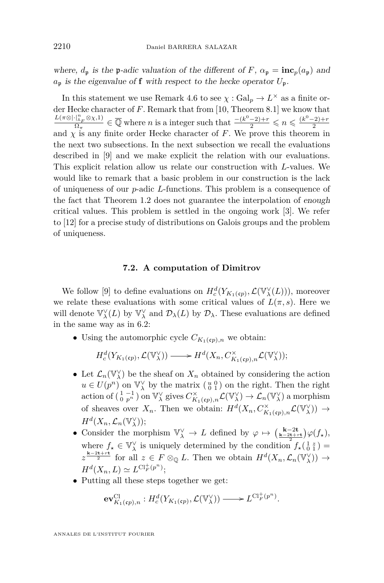where,  $d_p$  is the p-adic valuation of the different of *F*,  $\alpha_p = \mathbf{inc}_p(a_p)$  and  $a_p$  is the eigenvalue of **f** with respect to the hecke operator  $U_p$ .

In this statement we use Remark [4.6](#page-19-3) to see  $\chi : \text{Gal}_p \to L^\times$  as a finite order Hecke character of *F*. Remark that from [\[10,](#page-37-14) Theorem 8.1] we know that  $L(π ⊗ |⋅|_A^nF$ ⊗*χ*,1)  $\frac{d^n k}{d^n} \mathcal{D}(\frac{1}{n}) \in \overline{\mathbb{Q}}$  where *n* is a integer such that  $\frac{-(k^0-2)+r}{2} \leq n \leq \frac{(k^0-2)+r}{2}$ and  $\chi$  is any finite order Hecke character of *F*. We prove this theorem in the next two subsections. In the next subsection we recall the evaluations described in [\[9\]](#page-37-8) and we make explicit the relation with our evaluations. This explicit relation allow us relate our construction with *L*-values. We would like to remark that a basic problem in our construction is the lack of uniqueness of our *p*-adic *L*-functions. This problem is a consequence of the fact that Theorem [1.2](#page-4-0) does not guarantee the interpolation of enough critical values. This problem is settled in the ongoing work [\[3\]](#page-36-2). We refer to [\[12\]](#page-37-15) for a precise study of distributions on Galois groups and the problem of uniqueness.

## **7.2. A computation of Dimitrov**

We follow [\[9\]](#page-37-8) to define evaluations on  $H_c^d(Y_{K_1(\mathfrak{c} p)}, \mathcal{L}(\mathbb{V}^\vee_\lambda(L)))$ , moreover we relate these evaluations with some critical values of  $L(\pi, s)$ . Here we will denote  $\mathbb{V}^{\vee}_{\lambda}(L)$  by  $\mathbb{V}^{\vee}_{\lambda}$  and  $\mathcal{D}_{\lambda}(L)$  by  $\mathcal{D}_{\lambda}$ . These evaluations are defined in the same way as in [6.2:](#page-24-0)

• Using the automorphic cycle  $C_{K_1(\mathfrak{c}_p),n}$  we obtain:

$$
H_c^d(Y_{K_1(\mathfrak{c}p)}, \mathcal{L}(\mathbb{V}_{\lambda}^{\vee})) \longrightarrow H^d(X_n, C_{K_1(\mathfrak{c}p), n}^{\times} \mathcal{L}(\mathbb{V}_{\lambda}^{\vee}));
$$

- Let  $\mathcal{L}_n(\mathbb{V}_\lambda^\vee)$  be the sheaf on  $X_n$  obtained by considering the action  $u \in U(p^n)$  on  $\mathbb{V}_{\lambda}^{\vee}$  by the matrix  $\left(\begin{smallmatrix} u & 0 \\ 0 & 1 \end{smallmatrix}\right)$  on the right. Then the right  $\text{action of } \left( \begin{smallmatrix} 1 & -1 \\ 0 & p^n \end{smallmatrix} \right) \text{ on } \mathbb{V}_{\lambda}^{\vee} \text{ gives } C^{\times}_{K_1(\mathfrak{c}p),n} \mathcal{L}(\mathbb{V}_{\lambda}^{\vee}) \to \mathcal{L}_n(\mathbb{V}_{\lambda}^{\vee}) \text{ a morphism}$ of sheaves over  $X_n$ . Then we obtain:  $H^d(X_n, C^{\times}_{K_1(\mathfrak{c}_p),n}\mathcal{L}(\mathbb{V}_{\lambda}^{\vee})) \to$  $H^d(X_n, \mathcal{L}_n(\mathbb{V}_\lambda^\vee));$
- Consider the morphism  $\mathbb{V}_{\lambda}^{\vee} \to L$  defined by  $\varphi \mapsto (\frac{\mathbf{k}-2\mathbf{t}}{\mathbf{k}-2\mathbf{t}+\mathbf{r}\mathbf{t}})\varphi(f_{\star}),$ where  $f_{\star} \in V_{\lambda}^{\vee}$  is uniquely determined by the condition  $f_{\star}(\frac{1}{0}\frac{z}{1}) =$  $z \stackrel{\mathbf{k}-2\mathbf{t}+\mathbf{r}\mathbf{t}}{2}$  for all  $z \in F \otimes_{\mathbb{Q}} L$ . Then we obtain  $H^d(X_n, \mathcal{L}_n(\mathbb{V}_{\lambda}^{\vee})) \to$  $H^{d}(X_{n}, L) \simeq L^{Cl_{F}^{+}(p^{n})};$
- Putting all these steps together we get:

$$
\mathbf{ev}_{K_1(\mathfrak{c}_p),n}^{\mathrm{Cl}}: H^d_c(Y_{K_1(\mathfrak{c}_p)}, \mathcal{L}(\mathbb{V}_\lambda^{\vee})) \longrightarrow L^{\mathrm{Cl}_F^+(\mathfrak{p}^n)}.
$$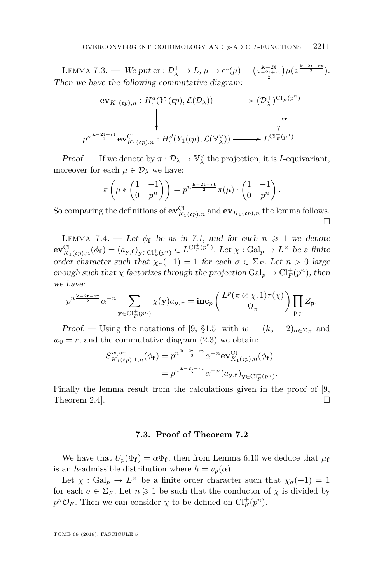<span id="page-35-0"></span>LEMMA 7.3. — We put  $\mathrm{cr} : \mathcal{D}_{\lambda}^+ \to L$ ,  $\mu \to \mathrm{cr}(\mu) = \left(\frac{k-2t}{k-2t+t}\right) \mu\left(z^{\frac{k-2t+rt}{2}}\right).$ 2 Then we have the following commutative diagram:

$$
\begin{aligned}\n\mathbf{ev}_{K_1(\mathfrak{c}_p),n}: H_c^d(Y_1(\mathfrak{c}_p), \mathcal{L}(\mathcal{D}_\lambda)) &\longrightarrow (\mathcal{D}_\lambda^+)^{\mathrm{Cl}_F^+(\mathfrak{p}^n)} \\
\downarrow^{\mathrm{cr}} &\downarrow^{\mathrm{cr}} \\
p^{n\frac{\mathbf{k}-2\mathbf{t}-r\mathbf{t}}{2}} \mathbf{ev}_{K_1(\mathfrak{c}_p),n}^{\mathrm{Cl}}: H_c^d(Y_1(\mathfrak{c}_p), \mathcal{L}(\mathbb{V}_\lambda^\vee)) &\longrightarrow L^{\mathrm{Cl}_F^+(\mathfrak{p}^n)}\n\end{aligned}
$$

Proof. — If we denote by  $\pi : \mathcal{D}_{\lambda} \to \mathbb{V}_{\lambda}^{\vee}$  the projection, it is *I*-equivariant, moreover for each  $\mu \in \mathcal{D}_{\lambda}$  we have:

$$
\pi\left(\mu*\begin{pmatrix}1&-1\\0&p^n\end{pmatrix}\right)=p^{n\frac{\mathbf{k}-2\mathbf{t}-r\mathbf{t}}{2}}\pi(\mu)\cdot\begin{pmatrix}1&-1\\0&p^n\end{pmatrix}.
$$

So comparing the definitions of  $ev^{\text{Cl}}_{K_1(\mathfrak{c}_p),n}$  and  $ev_{K_1(\mathfrak{c}_p),n}$  the lemma follows.  $\Box$ 

<span id="page-35-1"></span>LEMMA 7.4. — Let  $\phi_f$  be as in [7.1,](#page-32-3) and for each  $n \geq 1$  we denote  $ev^{\mathrm{Cl}}_{K_1(\mathfrak{c}p),n}(\phi_{\mathbf{f}}) = (a_{\mathbf{y},\mathbf{f}})_{\mathbf{y} \in \mathrm{Cl}_F^+(p^n)} \in L^{\mathrm{Cl}_F^+(p^n)}$ . Let  $\chi : \mathrm{Gal}_p \to L^\times$  be a finite *F* order character such that  $\chi_{\sigma}(-1) = 1$  for each  $\sigma \in \Sigma_F$ . Let  $n > 0$  large enough such that  $\chi$  factorizes through the projection  $Gal_p \to Cl_F^+(p^n)$ , then we have:

$$
p^{n\frac{\mathbf{k}-2\mathbf{t}-r\mathbf{t}}{2}}\alpha^{-n}\sum_{\mathbf{y}\in\mathrm{Cl}_{F}^{+}(p^{n})}\chi(\mathbf{y})a_{\mathbf{y},\pi}=\mathbf{inc}_{p}\left(\frac{L^{p}(\pi\otimes\chi,1)\tau(\chi)}{\Omega_{\pi}}\right)\prod_{\mathfrak{p}|p}Z_{\mathfrak{p}}.
$$

Proof. — Using the notations of [\[9,](#page-37-8) §1.5] with  $w = (k_{\sigma} - 2)_{\sigma \in \Sigma_F}$  and  $w_0 = r$ , and the commutative diagram  $(2.3)$  we obtain:

$$
S_{K_1(\mathfrak{c}_p),1,n}^{w,w_0}(\phi_{\mathbf{f}}) = p^{n\frac{\mathbf{k}-2\mathbf{t}-r\mathbf{t}}{2}} \alpha^{-n} \mathbf{e} \mathbf{v}_{K_1(\mathfrak{c}_p),n}^{\mathrm{Cl}}(\phi_{\mathbf{f}})
$$

$$
= p^{n\frac{\mathbf{k}-2\mathbf{t}-r\mathbf{t}}{2}} \alpha^{-n} (a_{\mathbf{y},\mathbf{f}})_{\mathbf{y} \in \mathrm{Cl}_F^+(p^n)}.
$$

Finally the lemma result from the calculations given in the proof of [\[9,](#page-37-8) Theorem 2.4].  $\Box$ 

# **7.3. Proof of Theorem [7.2](#page-33-1)**

We have that  $U_p(\Phi_f) = \alpha \Phi_f$ , then from Lemma [6.10](#page-32-4) we deduce that  $\mu_f$ is an *h*-admissible distribution where  $h = v_p(\alpha)$ .

Let  $\chi$ : Gal<sub>p</sub>  $\rightarrow$  *L*<sup> $\times$ </sup> be a finite order character such that  $\chi_{\sigma}(-1) = 1$ for each  $\sigma \in \Sigma_F$ . Let  $n \geq 1$  be such that the conductor of  $\chi$  is divided by  $p^n \mathcal{O}_F$ . Then we can consider  $\chi$  to be defined on  $\mathrm{Cl}_F^+(p^n)$ .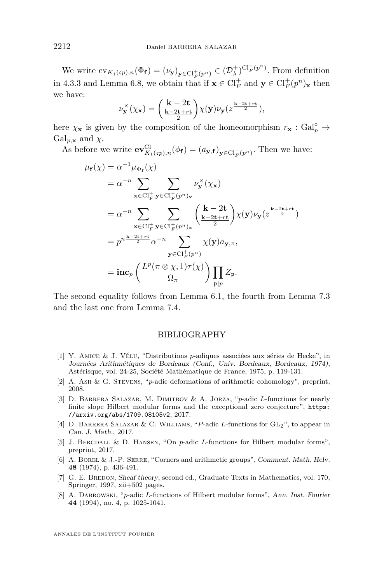We write  $ev_{K_1(\mathfrak{c}_p),n}(\Phi_{\mathbf{f}}) = (\nu_{\mathbf{y}})_{\mathbf{y} \in \mathrm{Cl}_F^+(p^n)} \in (\mathcal{D}_{\lambda}^+)^{\mathrm{Cl}_F^+(p^n)}$ . From definition in [4.3.3](#page-20-2) and Lemma [6.8,](#page-31-0) we obtain that if  $\mathbf{x} \in \mathrm{Cl}_F^+$  and  $\mathbf{y} \in \mathrm{Cl}_F^+(p^n)_{\mathbf{x}}$  then we have:

$$
\nu_{\mathbf{y}}^{\times}(\chi_{\mathbf{x}})=\bigg(\dfrac{\mathbf{k}-2\mathbf{t}}{\frac{\mathbf{k}-2\mathbf{t}+r\mathbf{t}}{2}}\bigg)\chi(\mathbf{y})\nu_{\mathbf{y}}(z^{\frac{\mathbf{k}-2\mathbf{t}+r\mathbf{t}}{2}}),
$$

here  $\chi_{\mathbf{x}}$  is given by the composition of the homeomorphism  $r_{\mathbf{x}} : \text{Gal}_{p}^{\circ} \to$  $Gal_{p,\mathbf{x}}$  and  $\chi$ .

As before we write  $ev^{\text{Cl}}_{K_1(\mathfrak{c}_p),n}(\phi_{\mathbf{f}}) = (a_{\mathbf{y},\mathbf{f}})_{\mathbf{y} \in \text{Cl}_F^+(p^n)}$ . Then we have:

$$
\mu_{\mathbf{f}}(\chi) = \alpha^{-1} \mu_{\Phi_{\mathbf{f}}}(\chi)
$$
\n
$$
= \alpha^{-n} \sum_{\mathbf{x} \in \mathrm{Cl}_F^+} \sum_{\mathbf{y} \in \mathrm{Cl}_F^+(\mathbf{p}^n)_{\mathbf{x}}} \nu_{\mathbf{y}}^{\times}(\chi_{\mathbf{x}})
$$
\n
$$
= \alpha^{-n} \sum_{\mathbf{x} \in \mathrm{Cl}_F^+} \sum_{\mathbf{y} \in \mathrm{Cl}_F^+(\mathbf{p}^n)_{\mathbf{x}}} \left(\frac{\mathbf{k} - 2\mathbf{t}}{\frac{\mathbf{k} - 2\mathbf{t} + r\mathbf{t}}{2}}\right) \chi(\mathbf{y}) \nu_{\mathbf{y}}(z^{\frac{\mathbf{k} - 2\mathbf{t} + r\mathbf{t}}{2}})
$$
\n
$$
= p^n \frac{\mathbf{k} - 2\mathbf{t} + r\mathbf{t}}{2} \alpha^{-n} \sum_{\mathbf{y} \in \mathrm{Cl}_F^+(\mathbf{p}^n)} \chi(\mathbf{y}) a_{\mathbf{y}, \pi},
$$
\n
$$
= \mathbf{inc}_p \left(\frac{L^p(\pi \otimes \chi, 1)\tau(\chi)}{\Omega_{\pi}}\right) \prod_{\mathbf{p} \mid p} Z_{\mathbf{p}}.
$$

The second equality follows from Lemma [6.1,](#page-25-3) the fourth from Lemma [7.3](#page-35-0) and the last one from Lemma [7.4.](#page-35-1)

# BIBLIOGRAPHY

- <span id="page-36-7"></span>[1] Y. Amice & J. Vélu, "Distributions *p*-adiques associées aux séries de Hecke", in Journées Arithmétiques de Bordeaux (Conf., Univ. Bordeaux, Bordeaux, 1974), Astérisque, vol. 24-25, Société Mathématique de France, 1975, p. 119-131.
- <span id="page-36-1"></span>[2] A. Ash & G. Stevens, "*p*-adic deformations of arithmetic cohomology", preprint, 2008.
- <span id="page-36-2"></span>[3] D. Barrera Salazar, M. Dimitrov & A. Jorza, "*p*-adic *L*-functions for nearly finite slope Hilbert modular forms and the exceptional zero conjecture", [https:](https://arxiv.org/abs/1709.08105v2) [//arxiv.org/abs/1709.08105v2](https://arxiv.org/abs/1709.08105v2), 2017.
- <span id="page-36-3"></span>[4] D. Barrera Salazar & C. Williams, "*P*-adic *L*-functions for GL2", to appear in Can. J. Math., 2017.
- <span id="page-36-4"></span>[5] J. Bergdall & D. Hansen, "On *p*-adic *L*-functions for Hilbert modular forms", preprint, 2017.
- <span id="page-36-5"></span>[6] A. Borel & J.-P. Serre, "Corners and arithmetic groups", Comment. Math. Helv. **48** (1974), p. 436-491.
- <span id="page-36-6"></span>[7] G. E. BREDON, Sheaf theory, second ed., Graduate Texts in Mathematics, vol. 170, Springer, 1997, xii+502 pages.
- <span id="page-36-0"></span>[8] A. DABROWSKI, "*p*-adic *L*-functions of Hilbert modular forms", Ann. Inst. Fourier **44** (1994), no. 4, p. 1025-1041.